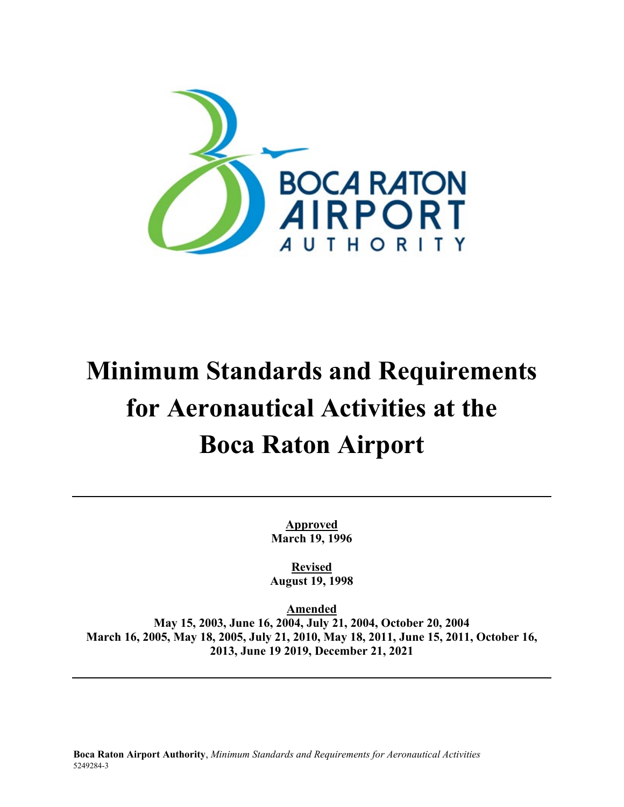

# **Minimum Standards and Requirements for Aeronautical Activities at the Boca Raton Airport**

**Approved March 19, 1996**

**Revised August 19, 1998**

**Amended**

**May 15, 2003, June 16, 2004, July 21, 2004, October 20, 2004 March 16, 2005, May 18, 2005, July 21, 2010, May 18, 2011, June 15, 2011, October 16, 2013, June 19 2019, December 21, 2021**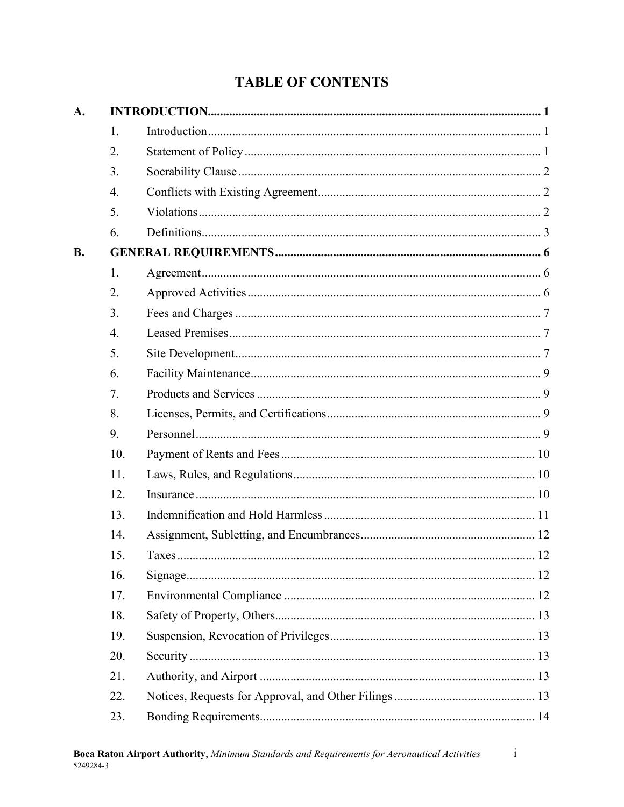# **TABLE OF CONTENTS**

| A.        |                  |  |  |  |  |  |
|-----------|------------------|--|--|--|--|--|
|           | 1.               |  |  |  |  |  |
|           | 2.               |  |  |  |  |  |
|           | 3.               |  |  |  |  |  |
|           | 4.               |  |  |  |  |  |
|           | 5.               |  |  |  |  |  |
|           | 6.               |  |  |  |  |  |
| <b>B.</b> |                  |  |  |  |  |  |
|           | 1.               |  |  |  |  |  |
|           | 2.               |  |  |  |  |  |
|           | 3.               |  |  |  |  |  |
|           | $\overline{4}$ . |  |  |  |  |  |
|           | 5.               |  |  |  |  |  |
|           | 6.               |  |  |  |  |  |
|           | 7.               |  |  |  |  |  |
|           | 8.               |  |  |  |  |  |
|           | 9.               |  |  |  |  |  |
|           | 10.              |  |  |  |  |  |
|           | 11.              |  |  |  |  |  |
|           | 12.              |  |  |  |  |  |
|           | 13.              |  |  |  |  |  |
|           | 14.              |  |  |  |  |  |
|           | 15.              |  |  |  |  |  |
|           | 16.              |  |  |  |  |  |
|           | 17.              |  |  |  |  |  |
|           | 18.              |  |  |  |  |  |
|           | 19.              |  |  |  |  |  |
|           | 20.              |  |  |  |  |  |
|           | 21.              |  |  |  |  |  |
|           | 22.              |  |  |  |  |  |
|           | 23.              |  |  |  |  |  |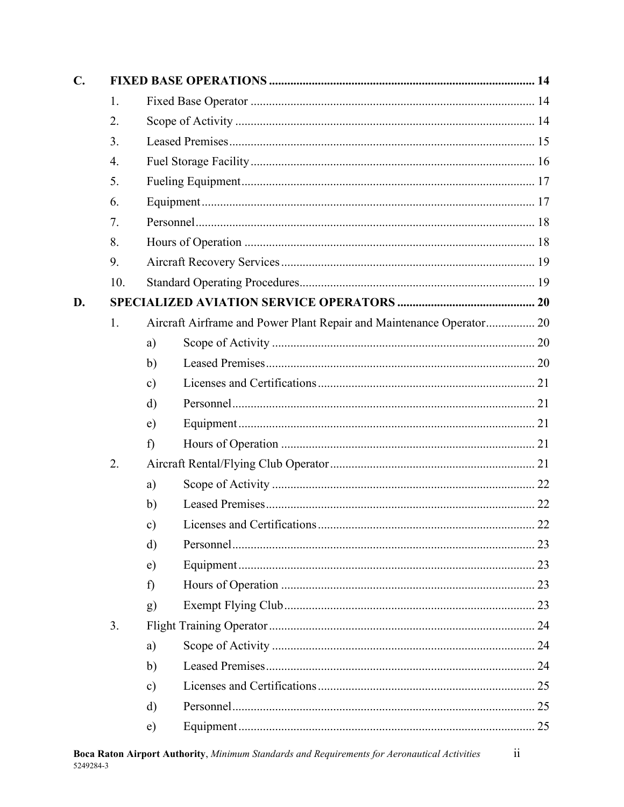| $\mathbf{C}$ . |     |               |                                                                      |  |  |
|----------------|-----|---------------|----------------------------------------------------------------------|--|--|
|                | 1.  |               |                                                                      |  |  |
|                | 2.  |               |                                                                      |  |  |
|                | 3.  |               |                                                                      |  |  |
|                | 4.  |               |                                                                      |  |  |
|                | 5.  |               |                                                                      |  |  |
|                | 6.  |               |                                                                      |  |  |
|                | 7.  |               |                                                                      |  |  |
|                | 8.  |               |                                                                      |  |  |
|                | 9.  |               |                                                                      |  |  |
|                | 10. |               |                                                                      |  |  |
| D.             |     |               |                                                                      |  |  |
|                | 1.  |               | Aircraft Airframe and Power Plant Repair and Maintenance Operator 20 |  |  |
|                |     | a)            |                                                                      |  |  |
|                |     | $\mathbf{b}$  |                                                                      |  |  |
|                |     | $\mathbf{c})$ |                                                                      |  |  |
|                |     | $\mathbf{d}$  |                                                                      |  |  |
|                |     | e)            |                                                                      |  |  |
|                |     | f)            |                                                                      |  |  |
|                | 2.  |               |                                                                      |  |  |
|                |     | a)            |                                                                      |  |  |
|                |     | $\mathbf{b}$  |                                                                      |  |  |
|                |     | $\mathbf{c})$ |                                                                      |  |  |
|                |     | $\mathbf{d}$  |                                                                      |  |  |
|                |     | e)            |                                                                      |  |  |
|                |     | $\hat{D}$     |                                                                      |  |  |
|                |     | g)            |                                                                      |  |  |
|                | 3.  |               |                                                                      |  |  |
|                |     | a)            |                                                                      |  |  |
|                |     | $\mathbf{b}$  |                                                                      |  |  |
|                |     | $\mathbf{c})$ |                                                                      |  |  |
|                |     | $\rm d)$      |                                                                      |  |  |
|                |     | e)            |                                                                      |  |  |
|                |     |               |                                                                      |  |  |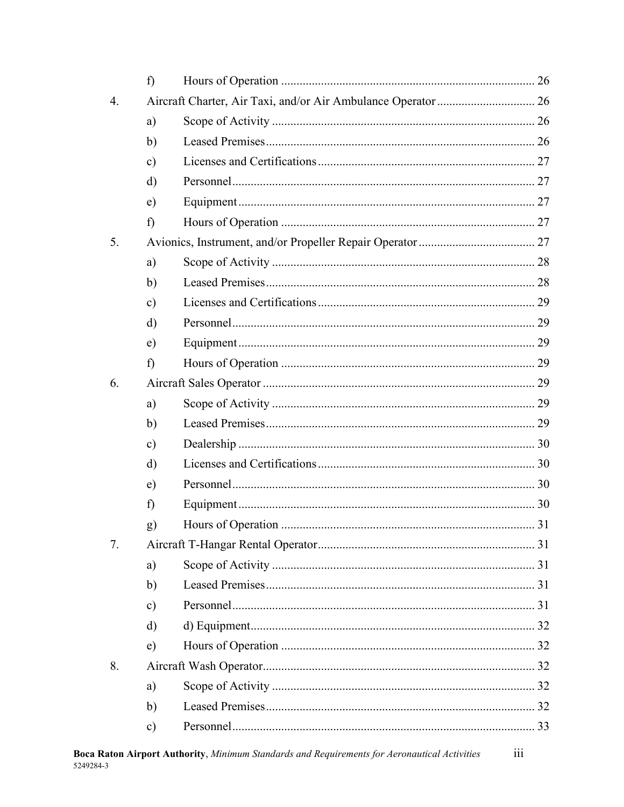|                  | f)            |  |  |
|------------------|---------------|--|--|
| $\overline{4}$ . |               |  |  |
|                  | a)            |  |  |
|                  | $\mathbf{b}$  |  |  |
|                  | $\mathbf{c})$ |  |  |
|                  | d)            |  |  |
|                  | e)            |  |  |
|                  | f)            |  |  |
| 5.               |               |  |  |
|                  | a)            |  |  |
|                  | b)            |  |  |
|                  | c)            |  |  |
|                  | d)            |  |  |
|                  | $\epsilon$ )  |  |  |
|                  | f)            |  |  |
| 6.               |               |  |  |
|                  | a)            |  |  |
|                  | $\mathbf{b}$  |  |  |
|                  | c)            |  |  |
|                  | d)            |  |  |
|                  | e)            |  |  |
|                  | $\mathbf f$   |  |  |
|                  | $\bf{g})$     |  |  |
| 7.               |               |  |  |
|                  | a)            |  |  |
|                  | $\mathbf{b}$  |  |  |
|                  | c)            |  |  |
|                  | d)            |  |  |
|                  | e)            |  |  |
| 8.               |               |  |  |
|                  | a)            |  |  |
|                  | $\mathbf{b}$  |  |  |
|                  | c)            |  |  |
|                  |               |  |  |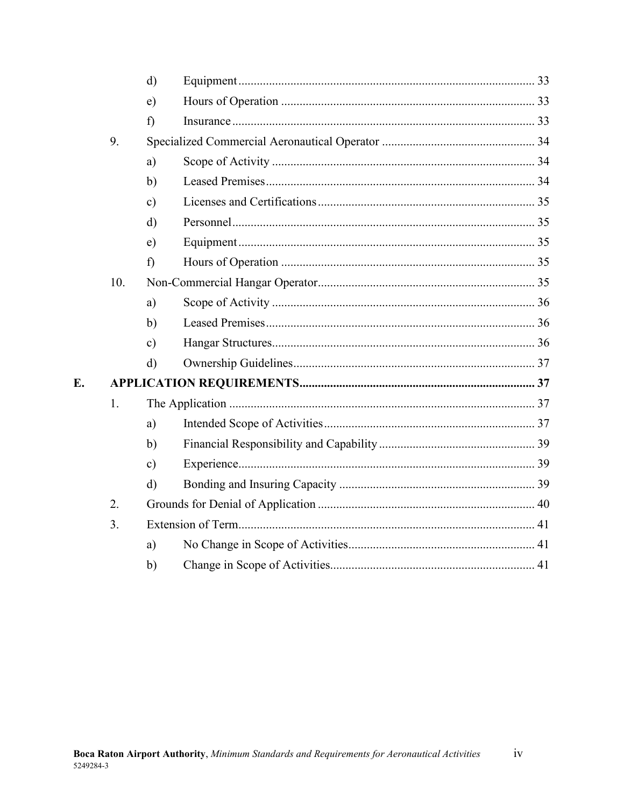|    |     | $\mathbf{d}$  |  |  |  |  |  |
|----|-----|---------------|--|--|--|--|--|
|    |     | $\epsilon$ )  |  |  |  |  |  |
|    |     | f             |  |  |  |  |  |
|    | 9.  |               |  |  |  |  |  |
|    |     | a)            |  |  |  |  |  |
|    |     | b)            |  |  |  |  |  |
|    |     | $\mathbf{c})$ |  |  |  |  |  |
|    |     | $\rm d$       |  |  |  |  |  |
|    |     | $\epsilon$ )  |  |  |  |  |  |
|    |     | f             |  |  |  |  |  |
|    | 10. |               |  |  |  |  |  |
|    |     | a)            |  |  |  |  |  |
|    |     | $\mathbf{b}$  |  |  |  |  |  |
|    |     | $\mathbf{c})$ |  |  |  |  |  |
|    |     | $\mathbf{d}$  |  |  |  |  |  |
| E. |     |               |  |  |  |  |  |
|    | 1.  |               |  |  |  |  |  |
|    |     | a)            |  |  |  |  |  |
|    |     | $\mathbf{b}$  |  |  |  |  |  |
|    |     | $\mathbf{c})$ |  |  |  |  |  |
|    |     | $\mathbf{d}$  |  |  |  |  |  |
|    | 2.  |               |  |  |  |  |  |
|    | 3.  |               |  |  |  |  |  |
|    |     | a)            |  |  |  |  |  |
|    |     | b)            |  |  |  |  |  |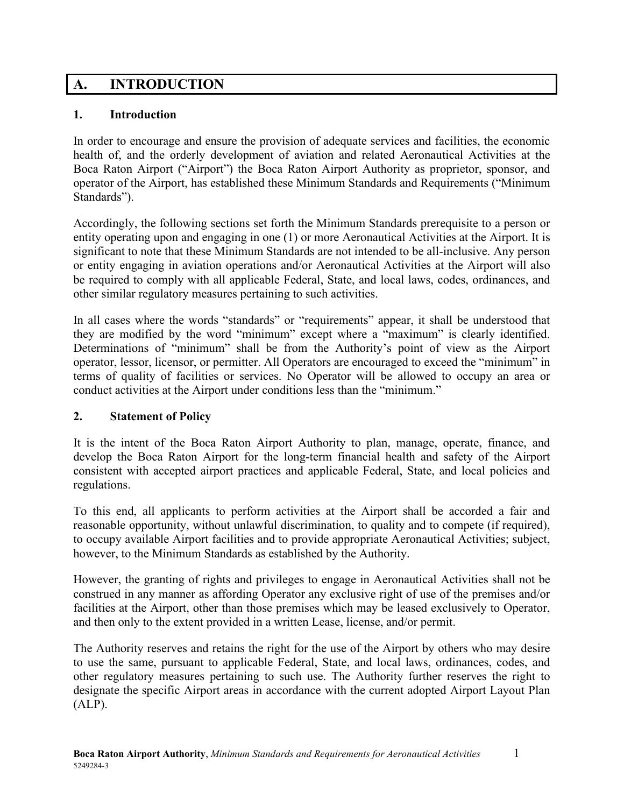# <span id="page-5-0"></span>**A. INTRODUCTION**

#### <span id="page-5-1"></span>**1. Introduction**

In order to encourage and ensure the provision of adequate services and facilities, the economic health of, and the orderly development of aviation and related Aeronautical Activities at the Boca Raton Airport ("Airport") the Boca Raton Airport Authority as proprietor, sponsor, and operator of the Airport, has established these Minimum Standards and Requirements ("Minimum Standards").

Accordingly, the following sections set forth the Minimum Standards prerequisite to a person or entity operating upon and engaging in one (1) or more Aeronautical Activities at the Airport. It is significant to note that these Minimum Standards are not intended to be all-inclusive. Any person or entity engaging in aviation operations and/or Aeronautical Activities at the Airport will also be required to comply with all applicable Federal, State, and local laws, codes, ordinances, and other similar regulatory measures pertaining to such activities.

In all cases where the words "standards" or "requirements" appear, it shall be understood that they are modified by the word "minimum" except where a "maximum" is clearly identified. Determinations of "minimum" shall be from the Authority's point of view as the Airport operator, lessor, licensor, or permitter. All Operators are encouraged to exceed the "minimum" in terms of quality of facilities or services. No Operator will be allowed to occupy an area or conduct activities at the Airport under conditions less than the "minimum."

#### <span id="page-5-2"></span>**2. Statement of Policy**

It is the intent of the Boca Raton Airport Authority to plan, manage, operate, finance, and develop the Boca Raton Airport for the long-term financial health and safety of the Airport consistent with accepted airport practices and applicable Federal, State, and local policies and regulations.

To this end, all applicants to perform activities at the Airport shall be accorded a fair and reasonable opportunity, without unlawful discrimination, to quality and to compete (if required), to occupy available Airport facilities and to provide appropriate Aeronautical Activities; subject, however, to the Minimum Standards as established by the Authority.

However, the granting of rights and privileges to engage in Aeronautical Activities shall not be construed in any manner as affording Operator any exclusive right of use of the premises and/or facilities at the Airport, other than those premises which may be leased exclusively to Operator, and then only to the extent provided in a written Lease, license, and/or permit.

The Authority reserves and retains the right for the use of the Airport by others who may desire to use the same, pursuant to applicable Federal, State, and local laws, ordinances, codes, and other regulatory measures pertaining to such use. The Authority further reserves the right to designate the specific Airport areas in accordance with the current adopted Airport Layout Plan  $(ALP)$ .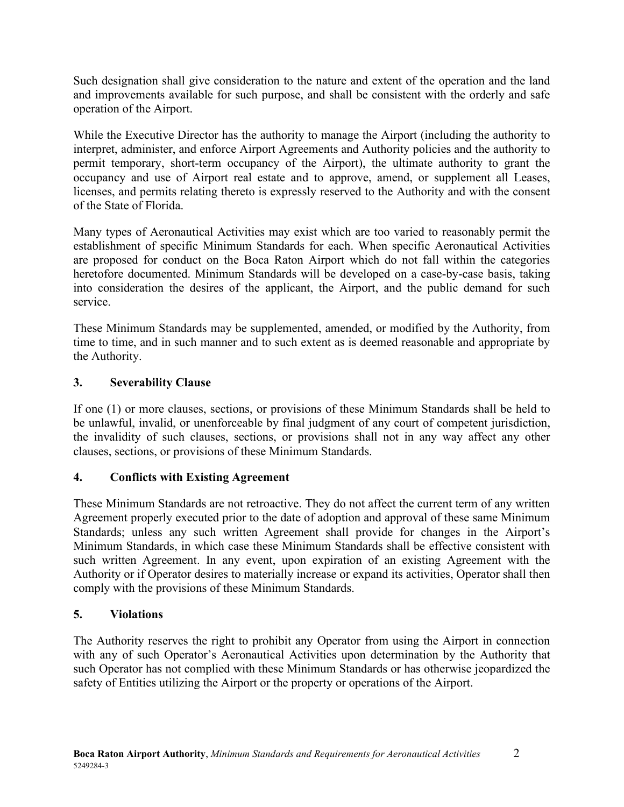Such designation shall give consideration to the nature and extent of the operation and the land and improvements available for such purpose, and shall be consistent with the orderly and safe operation of the Airport.

While the Executive Director has the authority to manage the Airport (including the authority to interpret, administer, and enforce Airport Agreements and Authority policies and the authority to permit temporary, short-term occupancy of the Airport), the ultimate authority to grant the occupancy and use of Airport real estate and to approve, amend, or supplement all Leases, licenses, and permits relating thereto is expressly reserved to the Authority and with the consent of the State of Florida.

Many types of Aeronautical Activities may exist which are too varied to reasonably permit the establishment of specific Minimum Standards for each. When specific Aeronautical Activities are proposed for conduct on the Boca Raton Airport which do not fall within the categories heretofore documented. Minimum Standards will be developed on a case-by-case basis, taking into consideration the desires of the applicant, the Airport, and the public demand for such service.

These Minimum Standards may be supplemented, amended, or modified by the Authority, from time to time, and in such manner and to such extent as is deemed reasonable and appropriate by the Authority.

#### <span id="page-6-0"></span>**3. Severability Clause**

If one (1) or more clauses, sections, or provisions of these Minimum Standards shall be held to be unlawful, invalid, or unenforceable by final judgment of any court of competent jurisdiction, the invalidity of such clauses, sections, or provisions shall not in any way affect any other clauses, sections, or provisions of these Minimum Standards.

# <span id="page-6-1"></span>**4. Conflicts with Existing Agreement**

These Minimum Standards are not retroactive. They do not affect the current term of any written Agreement properly executed prior to the date of adoption and approval of these same Minimum Standards; unless any such written Agreement shall provide for changes in the Airport's Minimum Standards, in which case these Minimum Standards shall be effective consistent with such written Agreement. In any event, upon expiration of an existing Agreement with the Authority or if Operator desires to materially increase or expand its activities, Operator shall then comply with the provisions of these Minimum Standards.

# <span id="page-6-2"></span>**5. Violations**

The Authority reserves the right to prohibit any Operator from using the Airport in connection with any of such Operator's Aeronautical Activities upon determination by the Authority that such Operator has not complied with these Minimum Standards or has otherwise jeopardized the safety of Entities utilizing the Airport or the property or operations of the Airport.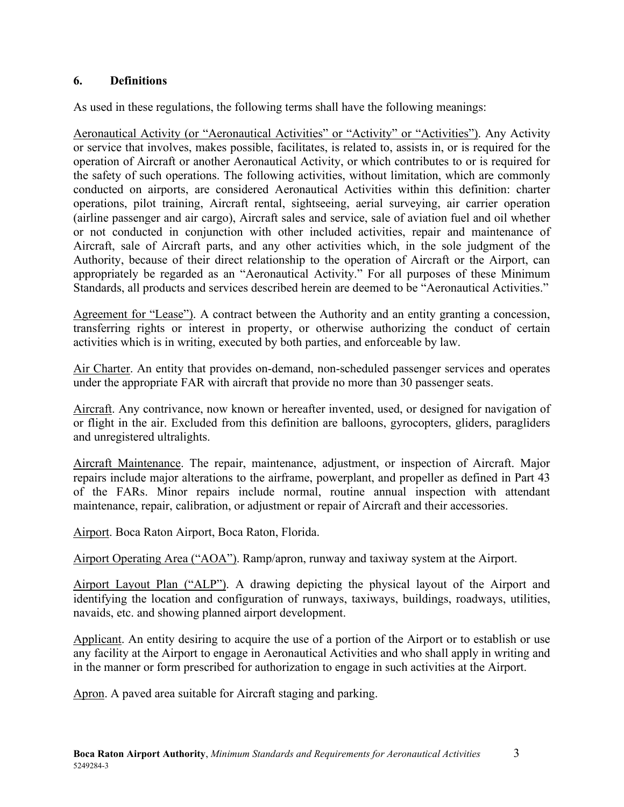#### <span id="page-7-0"></span>**6. Definitions**

As used in these regulations, the following terms shall have the following meanings:

Aeronautical Activity (or "Aeronautical Activities" or "Activity" or "Activities"). Any Activity or service that involves, makes possible, facilitates, is related to, assists in, or is required for the operation of Aircraft or another Aeronautical Activity, or which contributes to or is required for the safety of such operations. The following activities, without limitation, which are commonly conducted on airports, are considered Aeronautical Activities within this definition: charter operations, pilot training, Aircraft rental, sightseeing, aerial surveying, air carrier operation (airline passenger and air cargo), Aircraft sales and service, sale of aviation fuel and oil whether or not conducted in conjunction with other included activities, repair and maintenance of Aircraft, sale of Aircraft parts, and any other activities which, in the sole judgment of the Authority, because of their direct relationship to the operation of Aircraft or the Airport, can appropriately be regarded as an "Aeronautical Activity." For all purposes of these Minimum Standards, all products and services described herein are deemed to be "Aeronautical Activities."

Agreement for "Lease"). A contract between the Authority and an entity granting a concession, transferring rights or interest in property, or otherwise authorizing the conduct of certain activities which is in writing, executed by both parties, and enforceable by law.

Air Charter. An entity that provides on-demand, non-scheduled passenger services and operates under the appropriate FAR with aircraft that provide no more than 30 passenger seats.

Aircraft. Any contrivance, now known or hereafter invented, used, or designed for navigation of or flight in the air. Excluded from this definition are balloons, gyrocopters, gliders, paragliders and unregistered ultralights.

Aircraft Maintenance. The repair, maintenance, adjustment, or inspection of Aircraft. Major repairs include major alterations to the airframe, powerplant, and propeller as defined in Part 43 of the FARs. Minor repairs include normal, routine annual inspection with attendant maintenance, repair, calibration, or adjustment or repair of Aircraft and their accessories.

Airport. Boca Raton Airport, Boca Raton, Florida.

Airport Operating Area ("AOA"). Ramp/apron, runway and taxiway system at the Airport.

Airport Layout Plan ("ALP"). A drawing depicting the physical layout of the Airport and identifying the location and configuration of runways, taxiways, buildings, roadways, utilities, navaids, etc. and showing planned airport development.

Applicant. An entity desiring to acquire the use of a portion of the Airport or to establish or use any facility at the Airport to engage in Aeronautical Activities and who shall apply in writing and in the manner or form prescribed for authorization to engage in such activities at the Airport.

Apron. A paved area suitable for Aircraft staging and parking.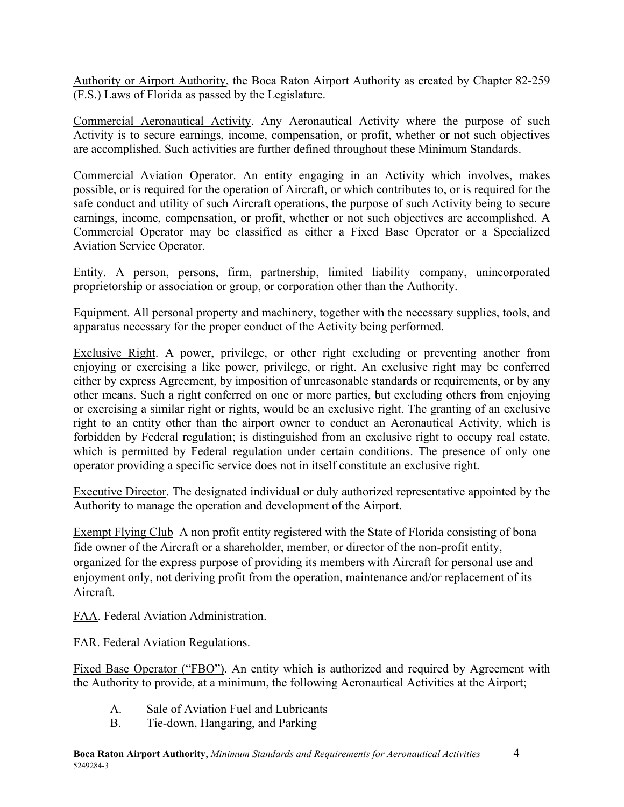Authority or Airport Authority, the Boca Raton Airport Authority as created by Chapter 82-259 (F.S.) Laws of Florida as passed by the Legislature.

Commercial Aeronautical Activity. Any Aeronautical Activity where the purpose of such Activity is to secure earnings, income, compensation, or profit, whether or not such objectives are accomplished. Such activities are further defined throughout these Minimum Standards.

Commercial Aviation Operator. An entity engaging in an Activity which involves, makes possible, or is required for the operation of Aircraft, or which contributes to, or is required for the safe conduct and utility of such Aircraft operations, the purpose of such Activity being to secure earnings, income, compensation, or profit, whether or not such objectives are accomplished. A Commercial Operator may be classified as either a Fixed Base Operator or a Specialized Aviation Service Operator.

Entity. A person, persons, firm, partnership, limited liability company, unincorporated proprietorship or association or group, or corporation other than the Authority.

Equipment. All personal property and machinery, together with the necessary supplies, tools, and apparatus necessary for the proper conduct of the Activity being performed.

Exclusive Right. A power, privilege, or other right excluding or preventing another from enjoying or exercising a like power, privilege, or right. An exclusive right may be conferred either by express Agreement, by imposition of unreasonable standards or requirements, or by any other means. Such a right conferred on one or more parties, but excluding others from enjoying or exercising a similar right or rights, would be an exclusive right. The granting of an exclusive right to an entity other than the airport owner to conduct an Aeronautical Activity, which is forbidden by Federal regulation; is distinguished from an exclusive right to occupy real estate, which is permitted by Federal regulation under certain conditions. The presence of only one operator providing a specific service does not in itself constitute an exclusive right.

Executive Director. The designated individual or duly authorized representative appointed by the Authority to manage the operation and development of the Airport.

Exempt Flying Club A non profit entity registered with the State of Florida consisting of bona fide owner of the Aircraft or a shareholder, member, or director of the non-profit entity, organized for the express purpose of providing its members with Aircraft for personal use and enjoyment only, not deriving profit from the operation, maintenance and/or replacement of its Aircraft.

FAA. Federal Aviation Administration.

FAR. Federal Aviation Regulations.

Fixed Base Operator ("FBO"). An entity which is authorized and required by Agreement with the Authority to provide, at a minimum, the following Aeronautical Activities at the Airport;

- A. Sale of Aviation Fuel and Lubricants
- B. Tie-down, Hangaring, and Parking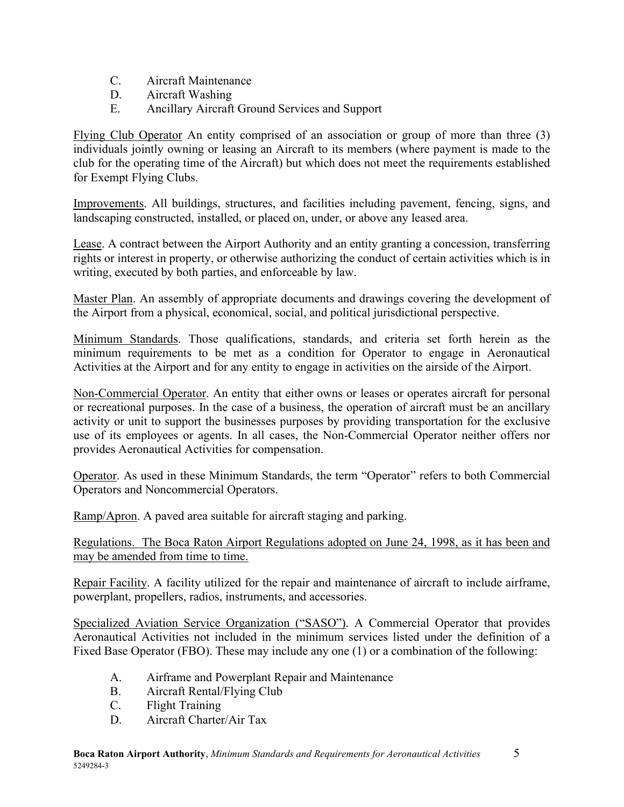- C. Aircraft Maintenance
- D. Aircraft Washing
- E. Ancillary Aircraft Ground Services and Support

Flying Club Operator An entity comprised of an association or group of more than three (3) individuals jointly owning or leasing an Aircraft to its members (where payment is made to the club for the operating time of the Aircraft) but which does not meet the requirements established for Exempt Flying Clubs.

Improvements. All buildings, structures, and facilities including pavement, fencing, signs, and landscaping constructed, installed, or placed on, under, or above any leased area.

Lease. A contract between the Airport Authority and an entity granting a concession, transferring rights or interest in property, or otherwise authorizing the conduct of certain activities which is in writing, executed by both parties, and enforceable by law.

Master Plan. An assembly of appropriate documents and drawings covering the development of the Airport from a physical, economical, social, and political jurisdictional perspective.

Minimum Standards. Those qualifications, standards, and criteria set forth herein as the minimum requirements to be met as a condition for Operator to engage in Aeronautical Activities at the Airport and for any entity to engage in activities on the airside of the Airport.

Non-Commercial Operator. An entity that either owns or leases or operates aircraft for personal or recreational purposes. In the case of a business, the operation of aircraft must be an ancillary activity or unit to support the businesses purposes by providing transportation for the exclusive use of its employees or agents. In all cases, the Non-Commercial Operator neither offers nor provides Aeronautical Activities for compensation.

Operator. As used in these Minimum Standards, the term "Operator" refers to both Commercial Operators and Noncommercial Operators.

Ramp/Apron. A paved area suitable for aircraft staging and parking.

Regulations. The Boca Raton Airport Regulations adopted on June 24, 1998, as it has been and may be amended from time to time.

Repair Facility. A facility utilized for the repair and maintenance of aircraft to include airframe, powerplant, propellers, radios, instruments, and accessories.

Specialized Aviation Service Organization ("SASO"). A Commercial Operator that provides Aeronautical Activities not included in the minimum services listed under the definition of a Fixed Base Operator (FBO). These may include any one (1) or a combination of the following:

- A. Airframe and Powerplant Repair and Maintenance
- B. Aircraft Rental/Flying Club
- C. Flight Training
- D. Aircraft Charter/Air Tax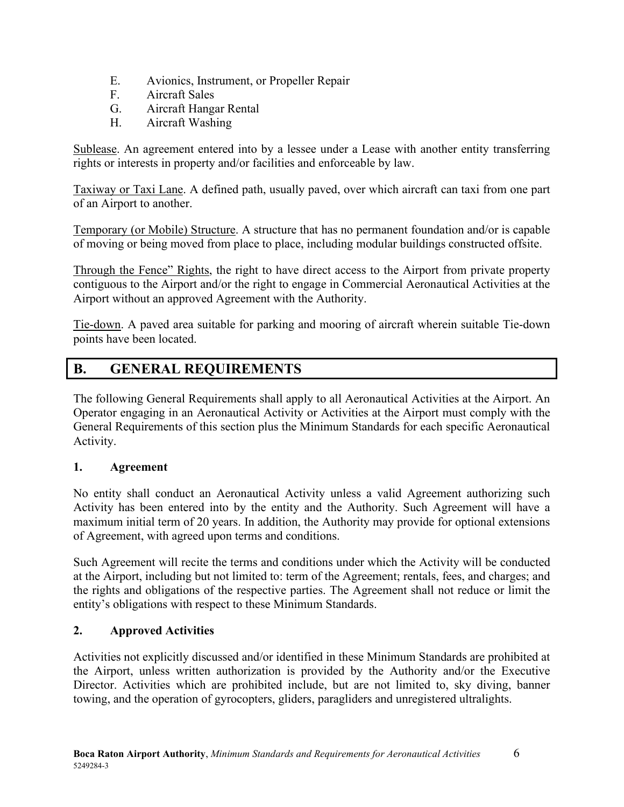- E. Avionics, Instrument, or Propeller Repair
- F. Aircraft Sales
- G. Aircraft Hangar Rental
- H. Aircraft Washing

Sublease. An agreement entered into by a lessee under a Lease with another entity transferring rights or interests in property and/or facilities and enforceable by law.

Taxiway or Taxi Lane. A defined path, usually paved, over which aircraft can taxi from one part of an Airport to another.

Temporary (or Mobile) Structure. A structure that has no permanent foundation and/or is capable of moving or being moved from place to place, including modular buildings constructed offsite.

Through the Fence" Rights, the right to have direct access to the Airport from private property contiguous to the Airport and/or the right to engage in Commercial Aeronautical Activities at the Airport without an approved Agreement with the Authority.

Tie-down. A paved area suitable for parking and mooring of aircraft wherein suitable Tie-down points have been located.

# <span id="page-10-0"></span>**B. GENERAL REQUIREMENTS**

The following General Requirements shall apply to all Aeronautical Activities at the Airport. An Operator engaging in an Aeronautical Activity or Activities at the Airport must comply with the General Requirements of this section plus the Minimum Standards for each specific Aeronautical Activity.

#### <span id="page-10-1"></span>**1. Agreement**

No entity shall conduct an Aeronautical Activity unless a valid Agreement authorizing such Activity has been entered into by the entity and the Authority. Such Agreement will have a maximum initial term of 20 years. In addition, the Authority may provide for optional extensions of Agreement, with agreed upon terms and conditions.

Such Agreement will recite the terms and conditions under which the Activity will be conducted at the Airport, including but not limited to: term of the Agreement; rentals, fees, and charges; and the rights and obligations of the respective parties. The Agreement shall not reduce or limit the entity's obligations with respect to these Minimum Standards.

# <span id="page-10-2"></span>**2. Approved Activities**

Activities not explicitly discussed and/or identified in these Minimum Standards are prohibited at the Airport, unless written authorization is provided by the Authority and/or the Executive Director. Activities which are prohibited include, but are not limited to, sky diving, banner towing, and the operation of gyrocopters, gliders, paragliders and unregistered ultralights.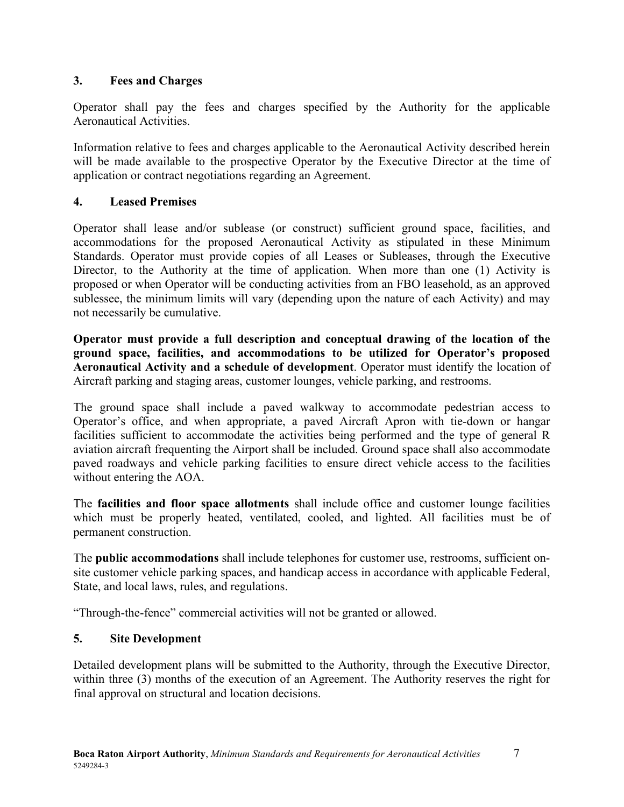#### <span id="page-11-0"></span>**3. Fees and Charges**

Operator shall pay the fees and charges specified by the Authority for the applicable Aeronautical Activities.

Information relative to fees and charges applicable to the Aeronautical Activity described herein will be made available to the prospective Operator by the Executive Director at the time of application or contract negotiations regarding an Agreement.

#### <span id="page-11-1"></span>**4. Leased Premises**

Operator shall lease and/or sublease (or construct) sufficient ground space, facilities, and accommodations for the proposed Aeronautical Activity as stipulated in these Minimum Standards. Operator must provide copies of all Leases or Subleases, through the Executive Director, to the Authority at the time of application. When more than one (1) Activity is proposed or when Operator will be conducting activities from an FBO leasehold, as an approved sublessee, the minimum limits will vary (depending upon the nature of each Activity) and may not necessarily be cumulative.

**Operator must provide a full description and conceptual drawing of the location of the ground space, facilities, and accommodations to be utilized for Operator's proposed Aeronautical Activity and a schedule of development**. Operator must identify the location of Aircraft parking and staging areas, customer lounges, vehicle parking, and restrooms.

The ground space shall include a paved walkway to accommodate pedestrian access to Operator's office, and when appropriate, a paved Aircraft Apron with tie-down or hangar facilities sufficient to accommodate the activities being performed and the type of general R aviation aircraft frequenting the Airport shall be included. Ground space shall also accommodate paved roadways and vehicle parking facilities to ensure direct vehicle access to the facilities without entering the AOA.

The **facilities and floor space allotments** shall include office and customer lounge facilities which must be properly heated, ventilated, cooled, and lighted. All facilities must be of permanent construction.

The **public accommodations** shall include telephones for customer use, restrooms, sufficient onsite customer vehicle parking spaces, and handicap access in accordance with applicable Federal, State, and local laws, rules, and regulations.

"Through-the-fence" commercial activities will not be granted or allowed.

# <span id="page-11-2"></span>**5. Site Development**

Detailed development plans will be submitted to the Authority, through the Executive Director, within three (3) months of the execution of an Agreement. The Authority reserves the right for final approval on structural and location decisions.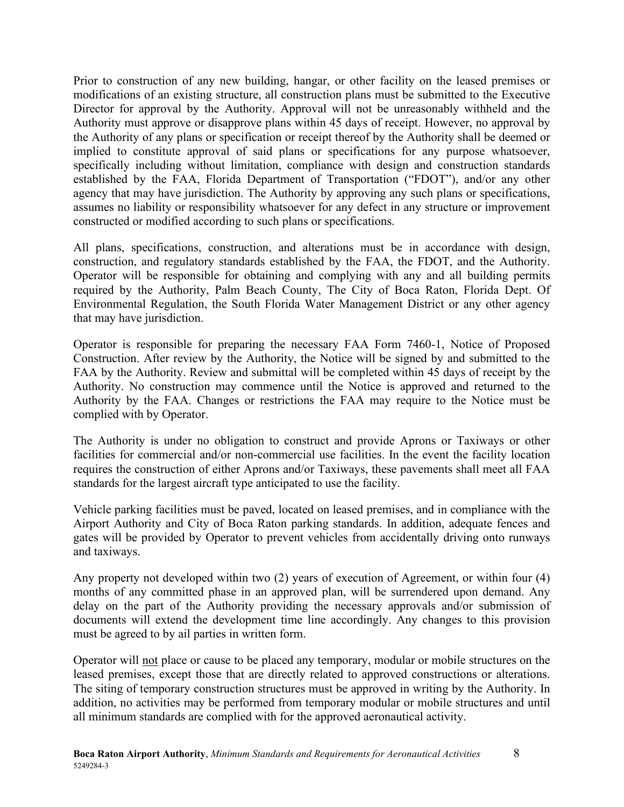Prior to construction of any new building, hangar, or other facility on the leased premises or modifications of an existing structure, all construction plans must be submitted to the Executive Director for approval by the Authority. Approval will not be unreasonably withheld and the Authority must approve or disapprove plans within 45 days of receipt. However, no approval by the Authority of any plans or specification or receipt thereof by the Authority shall be deemed or implied to constitute approval of said plans or specifications for any purpose whatsoever, specifically including without limitation, compliance with design and construction standards established by the FAA, Florida Department of Transportation ("FDOT"), and/or any other agency that may have jurisdiction. The Authority by approving any such plans or specifications, assumes no liability or responsibility whatsoever for any defect in any structure or improvement constructed or modified according to such plans or specifications.

All plans, specifications, construction, and alterations must be in accordance with design, construction, and regulatory standards established by the FAA, the FDOT, and the Authority. Operator will be responsible for obtaining and complying with any and all building permits required by the Authority, Palm Beach County, The City of Boca Raton, Florida Dept. Of Environmental Regulation, the South Florida Water Management District or any other agency that may have jurisdiction.

Operator is responsible for preparing the necessary FAA Form 7460-1, Notice of Proposed Construction. After review by the Authority, the Notice will be signed by and submitted to the FAA by the Authority. Review and submittal will be completed within 45 days of receipt by the Authority. No construction may commence until the Notice is approved and returned to the Authority by the FAA. Changes or restrictions the FAA may require to the Notice must be complied with by Operator.

The Authority is under no obligation to construct and provide Aprons or Taxiways or other facilities for commercial and/or non-commercial use facilities. In the event the facility location requires the construction of either Aprons and/or Taxiways, these pavements shall meet all FAA standards for the largest aircraft type anticipated to use the facility.

Vehicle parking facilities must be paved, located on leased premises, and in compliance with the Airport Authority and City of Boca Raton parking standards. In addition, adequate fences and gates will be provided by Operator to prevent vehicles from accidentally driving onto runways and taxiways.

Any property not developed within two (2) years of execution of Agreement, or within four (4) months of any committed phase in an approved plan, will be surrendered upon demand. Any delay on the part of the Authority providing the necessary approvals and/or submission of documents will extend the development time line accordingly. Any changes to this provision must be agreed to by ail parties in written form.

Operator will not place or cause to be placed any temporary, modular or mobile structures on the leased premises, except those that are directly related to approved constructions or alterations. The siting of temporary construction structures must be approved in writing by the Authority. In addition, no activities may be performed from temporary modular or mobile structures and until all minimum standards are complied with for the approved aeronautical activity.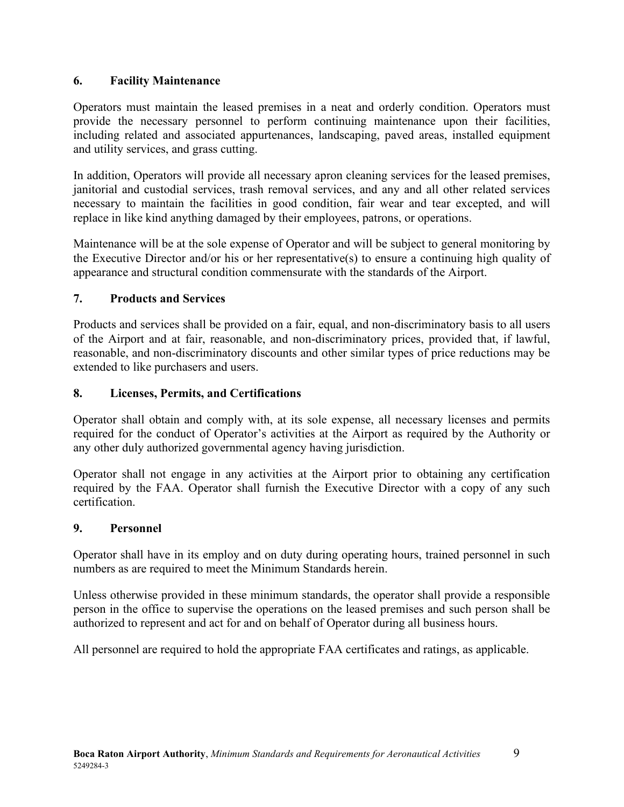#### <span id="page-13-0"></span>**6. Facility Maintenance**

Operators must maintain the leased premises in a neat and orderly condition. Operators must provide the necessary personnel to perform continuing maintenance upon their facilities, including related and associated appurtenances, landscaping, paved areas, installed equipment and utility services, and grass cutting.

In addition, Operators will provide all necessary apron cleaning services for the leased premises, janitorial and custodial services, trash removal services, and any and all other related services necessary to maintain the facilities in good condition, fair wear and tear excepted, and will replace in like kind anything damaged by their employees, patrons, or operations.

Maintenance will be at the sole expense of Operator and will be subject to general monitoring by the Executive Director and/or his or her representative(s) to ensure a continuing high quality of appearance and structural condition commensurate with the standards of the Airport.

#### <span id="page-13-1"></span>**7. Products and Services**

Products and services shall be provided on a fair, equal, and non-discriminatory basis to all users of the Airport and at fair, reasonable, and non-discriminatory prices, provided that, if lawful, reasonable, and non-discriminatory discounts and other similar types of price reductions may be extended to like purchasers and users.

#### <span id="page-13-2"></span>**8. Licenses, Permits, and Certifications**

Operator shall obtain and comply with, at its sole expense, all necessary licenses and permits required for the conduct of Operator's activities at the Airport as required by the Authority or any other duly authorized governmental agency having jurisdiction.

Operator shall not engage in any activities at the Airport prior to obtaining any certification required by the FAA. Operator shall furnish the Executive Director with a copy of any such certification.

#### <span id="page-13-3"></span>**9. Personnel**

Operator shall have in its employ and on duty during operating hours, trained personnel in such numbers as are required to meet the Minimum Standards herein.

Unless otherwise provided in these minimum standards, the operator shall provide a responsible person in the office to supervise the operations on the leased premises and such person shall be authorized to represent and act for and on behalf of Operator during all business hours.

All personnel are required to hold the appropriate FAA certificates and ratings, as applicable.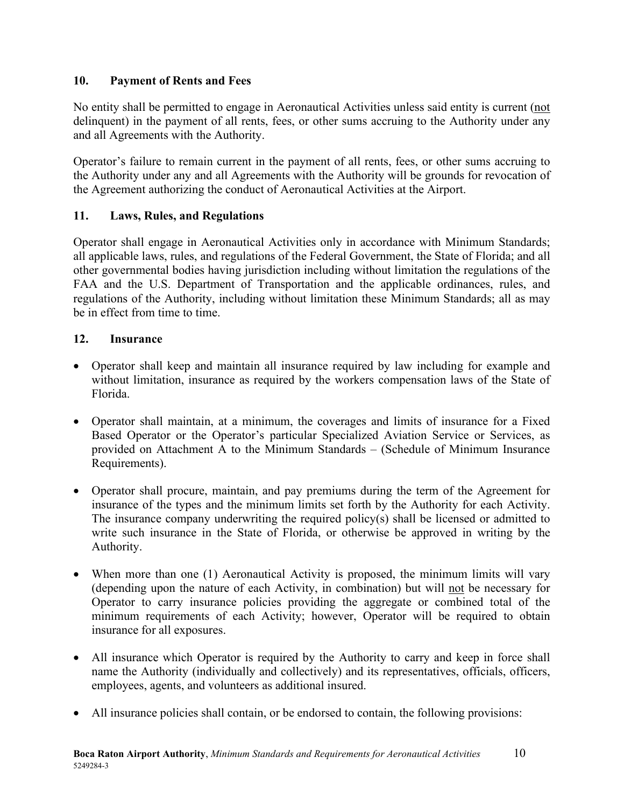#### <span id="page-14-0"></span>**10. Payment of Rents and Fees**

No entity shall be permitted to engage in Aeronautical Activities unless said entity is current (not delinquent) in the payment of all rents, fees, or other sums accruing to the Authority under any and all Agreements with the Authority.

Operator's failure to remain current in the payment of all rents, fees, or other sums accruing to the Authority under any and all Agreements with the Authority will be grounds for revocation of the Agreement authorizing the conduct of Aeronautical Activities at the Airport.

#### <span id="page-14-1"></span>**11. Laws, Rules, and Regulations**

Operator shall engage in Aeronautical Activities only in accordance with Minimum Standards; all applicable laws, rules, and regulations of the Federal Government, the State of Florida; and all other governmental bodies having jurisdiction including without limitation the regulations of the FAA and the U.S. Department of Transportation and the applicable ordinances, rules, and regulations of the Authority, including without limitation these Minimum Standards; all as may be in effect from time to time.

#### <span id="page-14-2"></span>**12. Insurance**

- Operator shall keep and maintain all insurance required by law including for example and without limitation, insurance as required by the workers compensation laws of the State of Florida.
- Operator shall maintain, at a minimum, the coverages and limits of insurance for a Fixed Based Operator or the Operator's particular Specialized Aviation Service or Services, as provided on Attachment A to the Minimum Standards – (Schedule of Minimum Insurance Requirements).
- Operator shall procure, maintain, and pay premiums during the term of the Agreement for insurance of the types and the minimum limits set forth by the Authority for each Activity. The insurance company underwriting the required policy(s) shall be licensed or admitted to write such insurance in the State of Florida, or otherwise be approved in writing by the Authority.
- When more than one (1) Aeronautical Activity is proposed, the minimum limits will vary (depending upon the nature of each Activity, in combination) but will not be necessary for Operator to carry insurance policies providing the aggregate or combined total of the minimum requirements of each Activity; however, Operator will be required to obtain insurance for all exposures.
- All insurance which Operator is required by the Authority to carry and keep in force shall name the Authority (individually and collectively) and its representatives, officials, officers, employees, agents, and volunteers as additional insured.
- All insurance policies shall contain, or be endorsed to contain, the following provisions: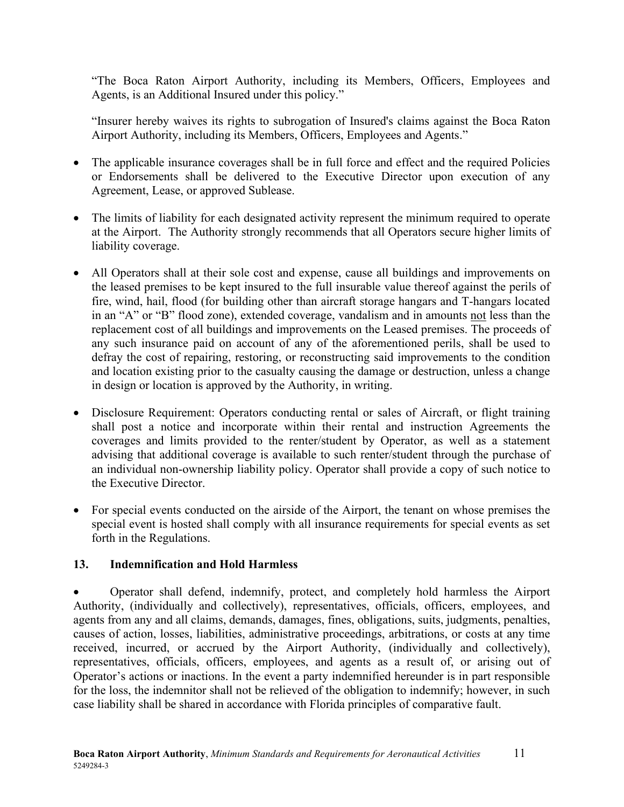"The Boca Raton Airport Authority, including its Members, Officers, Employees and Agents, is an Additional Insured under this policy."

"Insurer hereby waives its rights to subrogation of Insured's claims against the Boca Raton Airport Authority, including its Members, Officers, Employees and Agents."

- The applicable insurance coverages shall be in full force and effect and the required Policies or Endorsements shall be delivered to the Executive Director upon execution of any Agreement, Lease, or approved Sublease.
- The limits of liability for each designated activity represent the minimum required to operate at the Airport. The Authority strongly recommends that all Operators secure higher limits of liability coverage.
- All Operators shall at their sole cost and expense, cause all buildings and improvements on the leased premises to be kept insured to the full insurable value thereof against the perils of fire, wind, hail, flood (for building other than aircraft storage hangars and T-hangars located in an "A" or "B" flood zone), extended coverage, vandalism and in amounts not less than the replacement cost of all buildings and improvements on the Leased premises. The proceeds of any such insurance paid on account of any of the aforementioned perils, shall be used to defray the cost of repairing, restoring, or reconstructing said improvements to the condition and location existing prior to the casualty causing the damage or destruction, unless a change in design or location is approved by the Authority, in writing.
- Disclosure Requirement: Operators conducting rental or sales of Aircraft, or flight training shall post a notice and incorporate within their rental and instruction Agreements the coverages and limits provided to the renter/student by Operator, as well as a statement advising that additional coverage is available to such renter/student through the purchase of an individual non-ownership liability policy. Operator shall provide a copy of such notice to the Executive Director.
- For special events conducted on the airside of the Airport, the tenant on whose premises the special event is hosted shall comply with all insurance requirements for special events as set forth in the Regulations.

#### <span id="page-15-0"></span>**13. Indemnification and Hold Harmless**

• Operator shall defend, indemnify, protect, and completely hold harmless the Airport Authority, (individually and collectively), representatives, officials, officers, employees, and agents from any and all claims, demands, damages, fines, obligations, suits, judgments, penalties, causes of action, losses, liabilities, administrative proceedings, arbitrations, or costs at any time received, incurred, or accrued by the Airport Authority, (individually and collectively), representatives, officials, officers, employees, and agents as a result of, or arising out of Operator's actions or inactions. In the event a party indemnified hereunder is in part responsible for the loss, the indemnitor shall not be relieved of the obligation to indemnify; however, in such case liability shall be shared in accordance with Florida principles of comparative fault.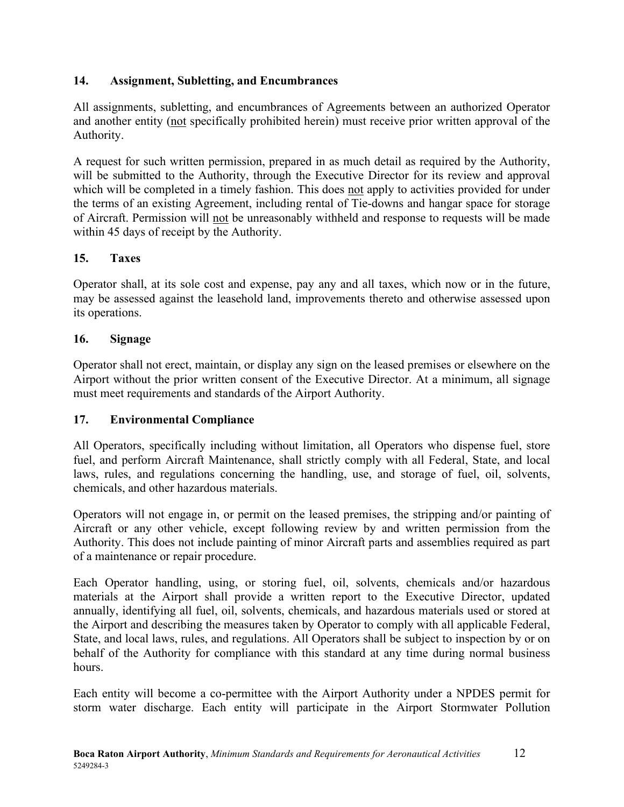#### <span id="page-16-0"></span>**14. Assignment, Subletting, and Encumbrances**

All assignments, subletting, and encumbrances of Agreements between an authorized Operator and another entity (not specifically prohibited herein) must receive prior written approval of the Authority.

A request for such written permission, prepared in as much detail as required by the Authority, will be submitted to the Authority, through the Executive Director for its review and approval which will be completed in a timely fashion. This does not apply to activities provided for under the terms of an existing Agreement, including rental of Tie-downs and hangar space for storage of Aircraft. Permission will not be unreasonably withheld and response to requests will be made within 45 days of receipt by the Authority.

#### <span id="page-16-1"></span>**15. Taxes**

Operator shall, at its sole cost and expense, pay any and all taxes, which now or in the future, may be assessed against the leasehold land, improvements thereto and otherwise assessed upon its operations.

#### <span id="page-16-2"></span>**16. Signage**

Operator shall not erect, maintain, or display any sign on the leased premises or elsewhere on the Airport without the prior written consent of the Executive Director. At a minimum, all signage must meet requirements and standards of the Airport Authority.

#### <span id="page-16-3"></span>**17. Environmental Compliance**

All Operators, specifically including without limitation, all Operators who dispense fuel, store fuel, and perform Aircraft Maintenance, shall strictly comply with all Federal, State, and local laws, rules, and regulations concerning the handling, use, and storage of fuel, oil, solvents, chemicals, and other hazardous materials.

Operators will not engage in, or permit on the leased premises, the stripping and/or painting of Aircraft or any other vehicle, except following review by and written permission from the Authority. This does not include painting of minor Aircraft parts and assemblies required as part of a maintenance or repair procedure.

Each Operator handling, using, or storing fuel, oil, solvents, chemicals and/or hazardous materials at the Airport shall provide a written report to the Executive Director, updated annually, identifying all fuel, oil, solvents, chemicals, and hazardous materials used or stored at the Airport and describing the measures taken by Operator to comply with all applicable Federal, State, and local laws, rules, and regulations. All Operators shall be subject to inspection by or on behalf of the Authority for compliance with this standard at any time during normal business hours.

Each entity will become a co-permittee with the Airport Authority under a NPDES permit for storm water discharge. Each entity will participate in the Airport Stormwater Pollution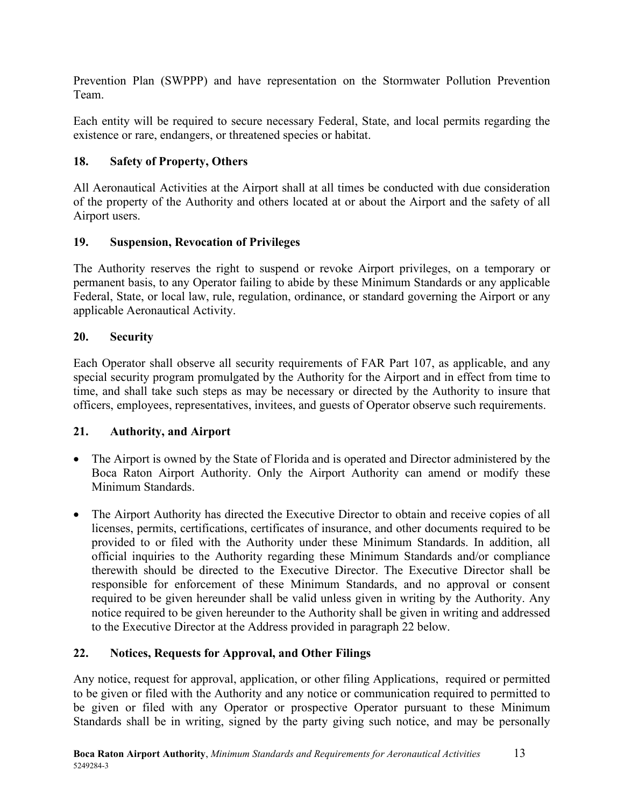Prevention Plan (SWPPP) and have representation on the Stormwater Pollution Prevention Team.

Each entity will be required to secure necessary Federal, State, and local permits regarding the existence or rare, endangers, or threatened species or habitat.

# <span id="page-17-0"></span>**18. Safety of Property, Others**

All Aeronautical Activities at the Airport shall at all times be conducted with due consideration of the property of the Authority and others located at or about the Airport and the safety of all Airport users.

# <span id="page-17-1"></span>**19. Suspension, Revocation of Privileges**

The Authority reserves the right to suspend or revoke Airport privileges, on a temporary or permanent basis, to any Operator failing to abide by these Minimum Standards or any applicable Federal, State, or local law, rule, regulation, ordinance, or standard governing the Airport or any applicable Aeronautical Activity.

# <span id="page-17-2"></span>**20. Security**

Each Operator shall observe all security requirements of FAR Part 107, as applicable, and any special security program promulgated by the Authority for the Airport and in effect from time to time, and shall take such steps as may be necessary or directed by the Authority to insure that officers, employees, representatives, invitees, and guests of Operator observe such requirements.

# <span id="page-17-3"></span>**21. Authority, and Airport**

- The Airport is owned by the State of Florida and is operated and Director administered by the Boca Raton Airport Authority. Only the Airport Authority can amend or modify these Minimum Standards.
- The Airport Authority has directed the Executive Director to obtain and receive copies of all licenses, permits, certifications, certificates of insurance, and other documents required to be provided to or filed with the Authority under these Minimum Standards. In addition, all official inquiries to the Authority regarding these Minimum Standards and/or compliance therewith should be directed to the Executive Director. The Executive Director shall be responsible for enforcement of these Minimum Standards, and no approval or consent required to be given hereunder shall be valid unless given in writing by the Authority. Any notice required to be given hereunder to the Authority shall be given in writing and addressed to the Executive Director at the Address provided in paragraph 22 below.

# <span id="page-17-4"></span>**22. Notices, Requests for Approval, and Other Filings**

Any notice, request for approval, application, or other filing Applications, required or permitted to be given or filed with the Authority and any notice or communication required to permitted to be given or filed with any Operator or prospective Operator pursuant to these Minimum Standards shall be in writing, signed by the party giving such notice, and may be personally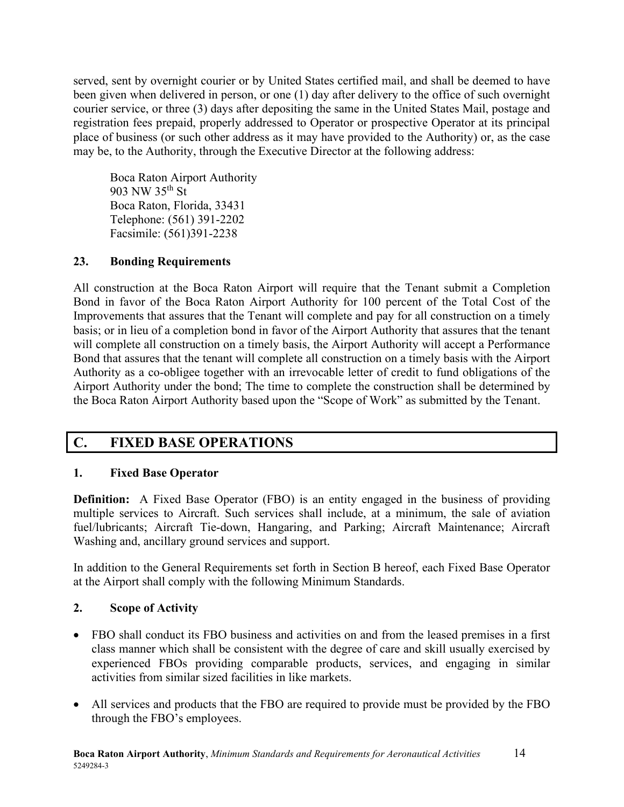served, sent by overnight courier or by United States certified mail, and shall be deemed to have been given when delivered in person, or one (1) day after delivery to the office of such overnight courier service, or three (3) days after depositing the same in the United States Mail, postage and registration fees prepaid, properly addressed to Operator or prospective Operator at its principal place of business (or such other address as it may have provided to the Authority) or, as the case may be, to the Authority, through the Executive Director at the following address:

Boca Raton Airport Authority 903 NW 35th St Boca Raton, Florida, 33431 Telephone: (561) 391-2202 Facsimile: (561)391-2238

#### <span id="page-18-0"></span>**23. Bonding Requirements**

All construction at the Boca Raton Airport will require that the Tenant submit a Completion Bond in favor of the Boca Raton Airport Authority for 100 percent of the Total Cost of the Improvements that assures that the Tenant will complete and pay for all construction on a timely basis; or in lieu of a completion bond in favor of the Airport Authority that assures that the tenant will complete all construction on a timely basis, the Airport Authority will accept a Performance Bond that assures that the tenant will complete all construction on a timely basis with the Airport Authority as a co-obligee together with an irrevocable letter of credit to fund obligations of the Airport Authority under the bond; The time to complete the construction shall be determined by the Boca Raton Airport Authority based upon the "Scope of Work" as submitted by the Tenant.

# <span id="page-18-1"></span>**C. FIXED BASE OPERATIONS**

#### <span id="page-18-2"></span>**1. Fixed Base Operator**

**Definition:** A Fixed Base Operator (FBO) is an entity engaged in the business of providing multiple services to Aircraft. Such services shall include, at a minimum, the sale of aviation fuel/lubricants; Aircraft Tie-down, Hangaring, and Parking; Aircraft Maintenance; Aircraft Washing and, ancillary ground services and support.

In addition to the General Requirements set forth in Section B hereof, each Fixed Base Operator at the Airport shall comply with the following Minimum Standards.

#### <span id="page-18-3"></span>**2. Scope of Activity**

- FBO shall conduct its FBO business and activities on and from the leased premises in a first class manner which shall be consistent with the degree of care and skill usually exercised by experienced FBOs providing comparable products, services, and engaging in similar activities from similar sized facilities in like markets.
- All services and products that the FBO are required to provide must be provided by the FBO through the FBO's employees.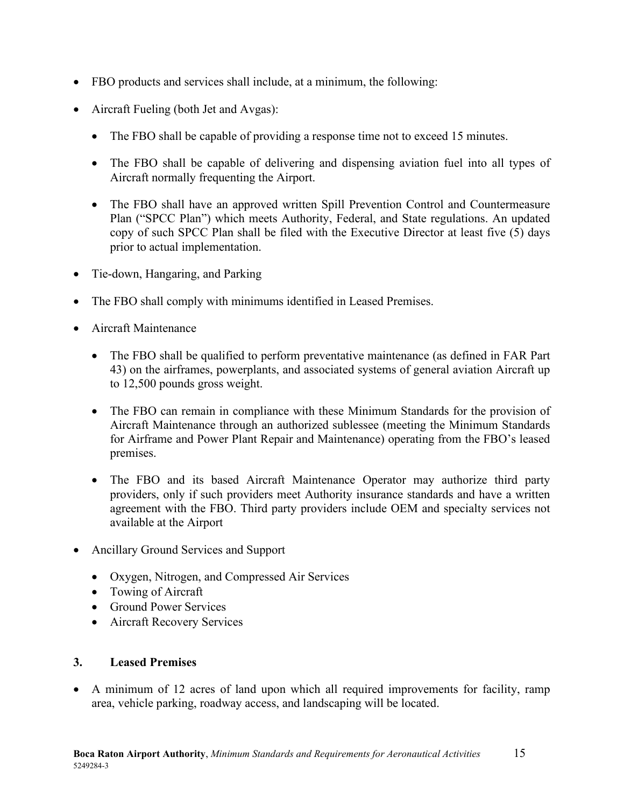- FBO products and services shall include, at a minimum, the following:
- Aircraft Fueling (both Jet and Avgas):
	- The FBO shall be capable of providing a response time not to exceed 15 minutes.
	- The FBO shall be capable of delivering and dispensing aviation fuel into all types of Aircraft normally frequenting the Airport.
	- The FBO shall have an approved written Spill Prevention Control and Countermeasure Plan ("SPCC Plan") which meets Authority, Federal, and State regulations. An updated copy of such SPCC Plan shall be filed with the Executive Director at least five (5) days prior to actual implementation.
- Tie-down, Hangaring, and Parking
- The FBO shall comply with minimums identified in Leased Premises.
- Aircraft Maintenance
	- The FBO shall be qualified to perform preventative maintenance (as defined in FAR Part 43) on the airframes, powerplants, and associated systems of general aviation Aircraft up to 12,500 pounds gross weight.
	- The FBO can remain in compliance with these Minimum Standards for the provision of Aircraft Maintenance through an authorized sublessee (meeting the Minimum Standards for Airframe and Power Plant Repair and Maintenance) operating from the FBO's leased premises.
	- The FBO and its based Aircraft Maintenance Operator may authorize third party providers, only if such providers meet Authority insurance standards and have a written agreement with the FBO. Third party providers include OEM and specialty services not available at the Airport
- Ancillary Ground Services and Support
	- Oxygen, Nitrogen, and Compressed Air Services
	- Towing of Aircraft
	- Ground Power Services
	- Aircraft Recovery Services

#### <span id="page-19-0"></span>**3. Leased Premises**

• A minimum of 12 acres of land upon which all required improvements for facility, ramp area, vehicle parking, roadway access, and landscaping will be located.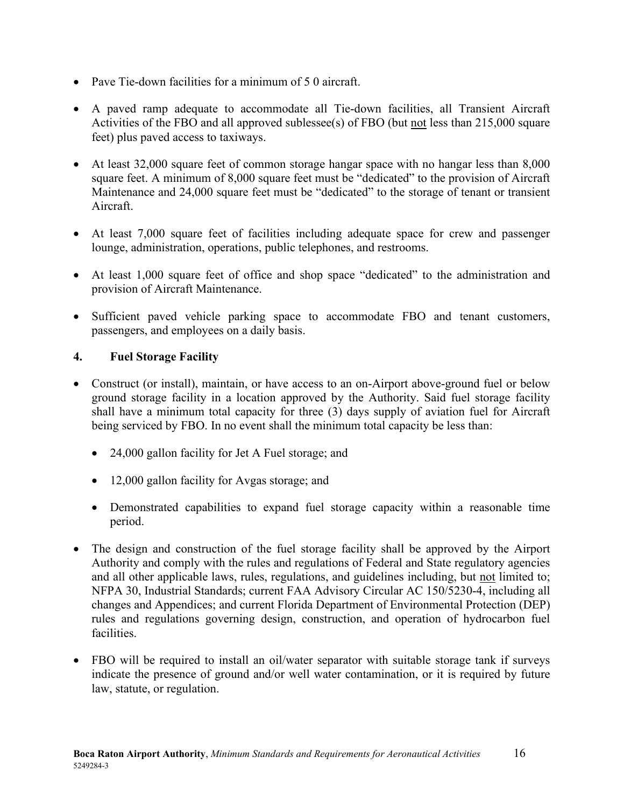- Pave Tie-down facilities for a minimum of 5 0 aircraft.
- A paved ramp adequate to accommodate all Tie-down facilities, all Transient Aircraft Activities of the FBO and all approved sublessee(s) of FBO (but not less than 215,000 square feet) plus paved access to taxiways.
- At least 32,000 square feet of common storage hangar space with no hangar less than 8,000 square feet. A minimum of 8,000 square feet must be "dedicated" to the provision of Aircraft Maintenance and 24,000 square feet must be "dedicated" to the storage of tenant or transient Aircraft.
- At least 7,000 square feet of facilities including adequate space for crew and passenger lounge, administration, operations, public telephones, and restrooms.
- At least 1,000 square feet of office and shop space "dedicated" to the administration and provision of Aircraft Maintenance.
- Sufficient paved vehicle parking space to accommodate FBO and tenant customers, passengers, and employees on a daily basis.

#### <span id="page-20-0"></span>**4. Fuel Storage Facility**

- Construct (or install), maintain, or have access to an on-Airport above-ground fuel or below ground storage facility in a location approved by the Authority. Said fuel storage facility shall have a minimum total capacity for three (3) days supply of aviation fuel for Aircraft being serviced by FBO. In no event shall the minimum total capacity be less than:
	- 24,000 gallon facility for Jet A Fuel storage; and
	- 12,000 gallon facility for Avgas storage; and
	- Demonstrated capabilities to expand fuel storage capacity within a reasonable time period.
- The design and construction of the fuel storage facility shall be approved by the Airport Authority and comply with the rules and regulations of Federal and State regulatory agencies and all other applicable laws, rules, regulations, and guidelines including, but not limited to; NFPA 30, Industrial Standards; current FAA Advisory Circular AC 150/5230-4, including all changes and Appendices; and current Florida Department of Environmental Protection (DEP) rules and regulations governing design, construction, and operation of hydrocarbon fuel facilities.
- FBO will be required to install an oil/water separator with suitable storage tank if surveys indicate the presence of ground and/or well water contamination, or it is required by future law, statute, or regulation.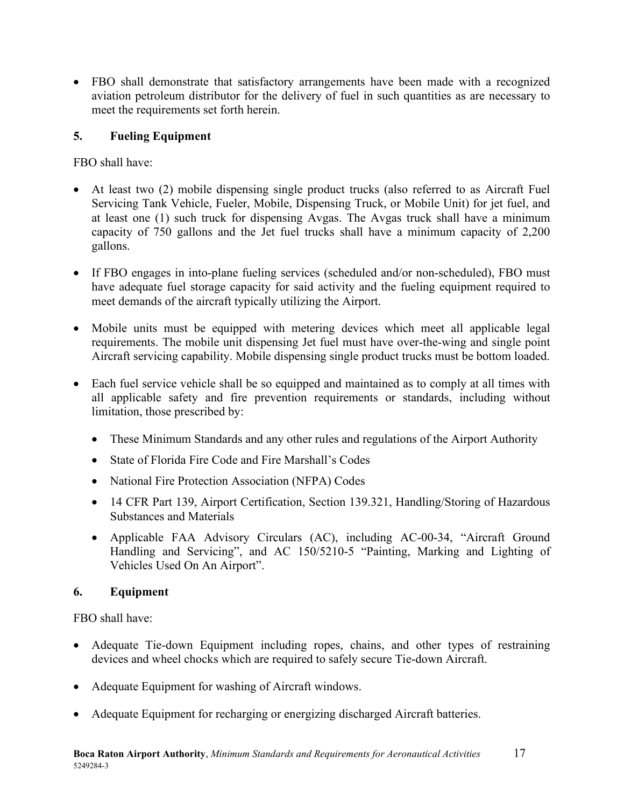• FBO shall demonstrate that satisfactory arrangements have been made with a recognized aviation petroleum distributor for the delivery of fuel in such quantities as are necessary to meet the requirements set forth herein.

# <span id="page-21-0"></span>**5. Fueling Equipment**

FBO shall have:

- At least two (2) mobile dispensing single product trucks (also referred to as Aircraft Fuel Servicing Tank Vehicle, Fueler, Mobile, Dispensing Truck, or Mobile Unit) for jet fuel, and at least one (1) such truck for dispensing Avgas. The Avgas truck shall have a minimum capacity of 750 gallons and the Jet fuel trucks shall have a minimum capacity of 2,200 gallons.
- If FBO engages in into-plane fueling services (scheduled and/or non-scheduled), FBO must have adequate fuel storage capacity for said activity and the fueling equipment required to meet demands of the aircraft typically utilizing the Airport.
- Mobile units must be equipped with metering devices which meet all applicable legal requirements. The mobile unit dispensing Jet fuel must have over-the-wing and single point Aircraft servicing capability. Mobile dispensing single product trucks must be bottom loaded.
- Each fuel service vehicle shall be so equipped and maintained as to comply at all times with all applicable safety and fire prevention requirements or standards, including without limitation, those prescribed by:
	- These Minimum Standards and any other rules and regulations of the Airport Authority
	- State of Florida Fire Code and Fire Marshall's Codes
	- National Fire Protection Association (NFPA) Codes
	- 14 CFR Part 139, Airport Certification, Section 139.321, Handling/Storing of Hazardous Substances and Materials
	- Applicable FAA Advisory Circulars (AC), including AC-00-34, "Aircraft Ground Handling and Servicing", and AC 150/5210-5 "Painting, Marking and Lighting of Vehicles Used On An Airport".

#### <span id="page-21-1"></span>**6. Equipment**

FBO shall have:

- Adequate Tie-down Equipment including ropes, chains, and other types of restraining devices and wheel chocks which are required to safely secure Tie-down Aircraft.
- Adequate Equipment for washing of Aircraft windows.
- Adequate Equipment for recharging or energizing discharged Aircraft batteries.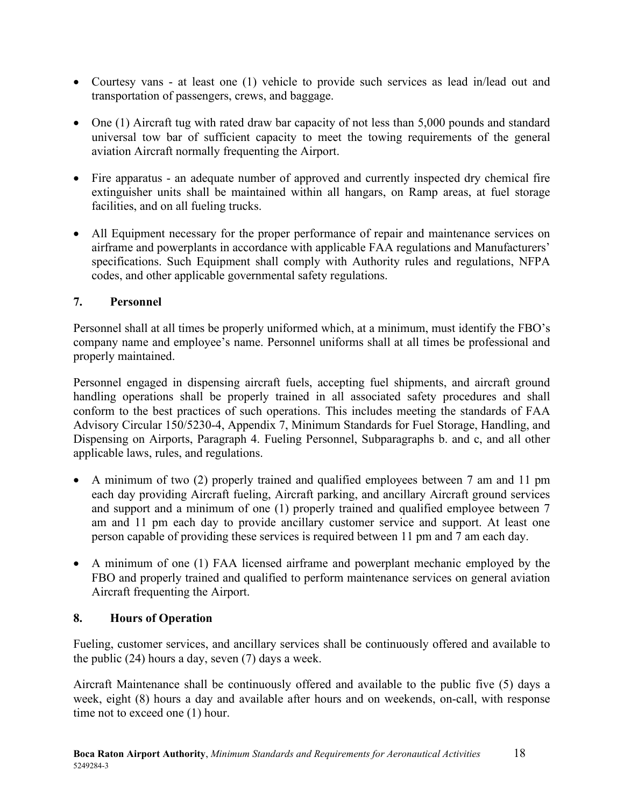- Courtesy vans at least one (1) vehicle to provide such services as lead in/lead out and transportation of passengers, crews, and baggage.
- One (1) Aircraft tug with rated draw bar capacity of not less than 5,000 pounds and standard universal tow bar of sufficient capacity to meet the towing requirements of the general aviation Aircraft normally frequenting the Airport.
- Fire apparatus an adequate number of approved and currently inspected dry chemical fire extinguisher units shall be maintained within all hangars, on Ramp areas, at fuel storage facilities, and on all fueling trucks.
- All Equipment necessary for the proper performance of repair and maintenance services on airframe and powerplants in accordance with applicable FAA regulations and Manufacturers' specifications. Such Equipment shall comply with Authority rules and regulations, NFPA codes, and other applicable governmental safety regulations.

# <span id="page-22-0"></span>**7. Personnel**

Personnel shall at all times be properly uniformed which, at a minimum, must identify the FBO's company name and employee's name. Personnel uniforms shall at all times be professional and properly maintained.

Personnel engaged in dispensing aircraft fuels, accepting fuel shipments, and aircraft ground handling operations shall be properly trained in all associated safety procedures and shall conform to the best practices of such operations. This includes meeting the standards of FAA Advisory Circular 150/5230-4, Appendix 7, Minimum Standards for Fuel Storage, Handling, and Dispensing on Airports, Paragraph 4. Fueling Personnel, Subparagraphs b. and c, and all other applicable laws, rules, and regulations.

- A minimum of two (2) properly trained and qualified employees between 7 am and 11 pm each day providing Aircraft fueling, Aircraft parking, and ancillary Aircraft ground services and support and a minimum of one (1) properly trained and qualified employee between 7 am and 11 pm each day to provide ancillary customer service and support. At least one person capable of providing these services is required between 11 pm and 7 am each day.
- A minimum of one (1) FAA licensed airframe and powerplant mechanic employed by the FBO and properly trained and qualified to perform maintenance services on general aviation Aircraft frequenting the Airport.

#### <span id="page-22-1"></span>**8. Hours of Operation**

Fueling, customer services, and ancillary services shall be continuously offered and available to the public (24) hours a day, seven (7) days a week.

Aircraft Maintenance shall be continuously offered and available to the public five (5) days a week, eight (8) hours a day and available after hours and on weekends, on-call, with response time not to exceed one (1) hour.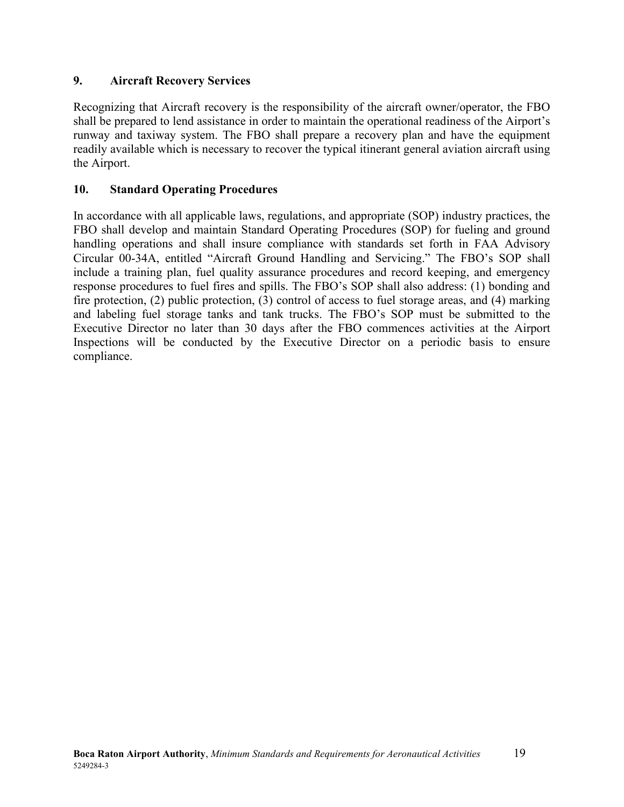#### <span id="page-23-0"></span>**9. Aircraft Recovery Services**

Recognizing that Aircraft recovery is the responsibility of the aircraft owner/operator, the FBO shall be prepared to lend assistance in order to maintain the operational readiness of the Airport's runway and taxiway system. The FBO shall prepare a recovery plan and have the equipment readily available which is necessary to recover the typical itinerant general aviation aircraft using the Airport.

#### <span id="page-23-1"></span>**10. Standard Operating Procedures**

In accordance with all applicable laws, regulations, and appropriate (SOP) industry practices, the FBO shall develop and maintain Standard Operating Procedures (SOP) for fueling and ground handling operations and shall insure compliance with standards set forth in FAA Advisory Circular 00-34A, entitled "Aircraft Ground Handling and Servicing." The FBO's SOP shall include a training plan, fuel quality assurance procedures and record keeping, and emergency response procedures to fuel fires and spills. The FBO's SOP shall also address: (1) bonding and fire protection, (2) public protection, (3) control of access to fuel storage areas, and (4) marking and labeling fuel storage tanks and tank trucks. The FBO's SOP must be submitted to the Executive Director no later than 30 days after the FBO commences activities at the Airport Inspections will be conducted by the Executive Director on a periodic basis to ensure compliance.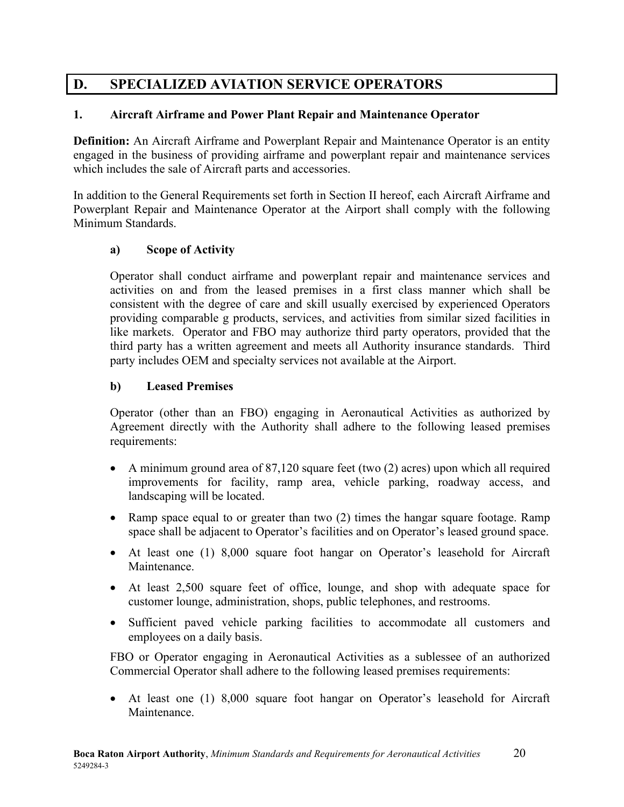# <span id="page-24-0"></span>**D. SPECIALIZED AVIATION SERVICE OPERATORS**

#### <span id="page-24-1"></span>**1. Aircraft Airframe and Power Plant Repair and Maintenance Operator**

**Definition:** An Aircraft Airframe and Powerplant Repair and Maintenance Operator is an entity engaged in the business of providing airframe and powerplant repair and maintenance services which includes the sale of Aircraft parts and accessories.

In addition to the General Requirements set forth in Section II hereof, each Aircraft Airframe and Powerplant Repair and Maintenance Operator at the Airport shall comply with the following Minimum Standards.

#### <span id="page-24-2"></span>**a) Scope of Activity**

Operator shall conduct airframe and powerplant repair and maintenance services and activities on and from the leased premises in a first class manner which shall be consistent with the degree of care and skill usually exercised by experienced Operators providing comparable g products, services, and activities from similar sized facilities in like markets. Operator and FBO may authorize third party operators, provided that the third party has a written agreement and meets all Authority insurance standards. Third party includes OEM and specialty services not available at the Airport.

#### <span id="page-24-3"></span>**b) Leased Premises**

Operator (other than an FBO) engaging in Aeronautical Activities as authorized by Agreement directly with the Authority shall adhere to the following leased premises requirements:

- A minimum ground area of 87,120 square feet (two (2) acres) upon which all required improvements for facility, ramp area, vehicle parking, roadway access, and landscaping will be located.
- Ramp space equal to or greater than two (2) times the hangar square footage. Ramp space shall be adjacent to Operator's facilities and on Operator's leased ground space.
- At least one (1) 8,000 square foot hangar on Operator's leasehold for Aircraft Maintenance.
- At least 2,500 square feet of office, lounge, and shop with adequate space for customer lounge, administration, shops, public telephones, and restrooms.
- Sufficient paved vehicle parking facilities to accommodate all customers and employees on a daily basis.

FBO or Operator engaging in Aeronautical Activities as a sublessee of an authorized Commercial Operator shall adhere to the following leased premises requirements:

• At least one (1) 8,000 square foot hangar on Operator's leasehold for Aircraft Maintenance.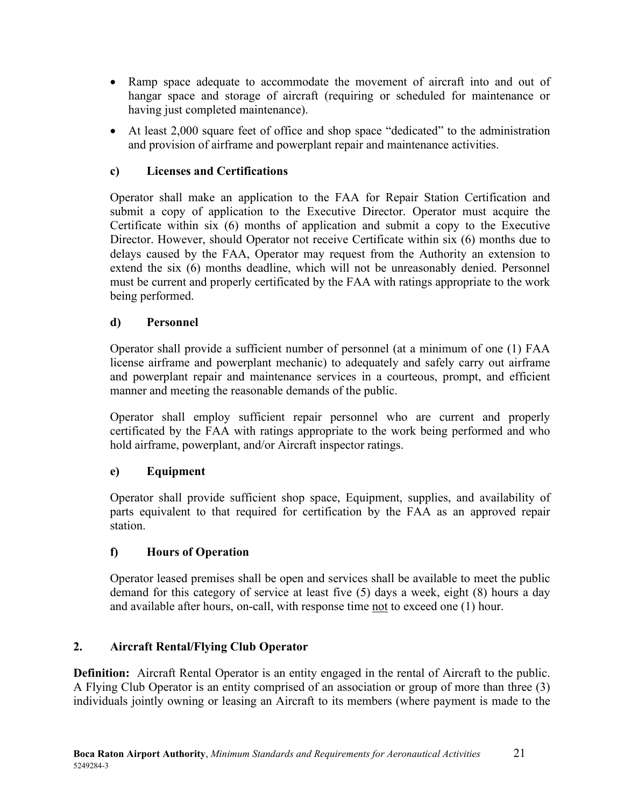- Ramp space adequate to accommodate the movement of aircraft into and out of hangar space and storage of aircraft (requiring or scheduled for maintenance or having just completed maintenance).
- At least 2,000 square feet of office and shop space "dedicated" to the administration and provision of airframe and powerplant repair and maintenance activities.

### <span id="page-25-0"></span>**c) Licenses and Certifications**

Operator shall make an application to the FAA for Repair Station Certification and submit a copy of application to the Executive Director. Operator must acquire the Certificate within six (6) months of application and submit a copy to the Executive Director. However, should Operator not receive Certificate within six (6) months due to delays caused by the FAA, Operator may request from the Authority an extension to extend the six (6) months deadline, which will not be unreasonably denied. Personnel must be current and properly certificated by the FAA with ratings appropriate to the work being performed.

#### <span id="page-25-1"></span>**d) Personnel**

Operator shall provide a sufficient number of personnel (at a minimum of one (1) FAA license airframe and powerplant mechanic) to adequately and safely carry out airframe and powerplant repair and maintenance services in a courteous, prompt, and efficient manner and meeting the reasonable demands of the public.

Operator shall employ sufficient repair personnel who are current and properly certificated by the FAA with ratings appropriate to the work being performed and who hold airframe, powerplant, and/or Aircraft inspector ratings.

#### <span id="page-25-2"></span>**e) Equipment**

Operator shall provide sufficient shop space, Equipment, supplies, and availability of parts equivalent to that required for certification by the FAA as an approved repair station.

#### <span id="page-25-3"></span>**f) Hours of Operation**

Operator leased premises shall be open and services shall be available to meet the public demand for this category of service at least five (5) days a week, eight (8) hours a day and available after hours, on-call, with response time not to exceed one (1) hour.

#### <span id="page-25-4"></span>**2. Aircraft Rental/Flying Club Operator**

**Definition:** Aircraft Rental Operator is an entity engaged in the rental of Aircraft to the public. A Flying Club Operator is an entity comprised of an association or group of more than three (3) individuals jointly owning or leasing an Aircraft to its members (where payment is made to the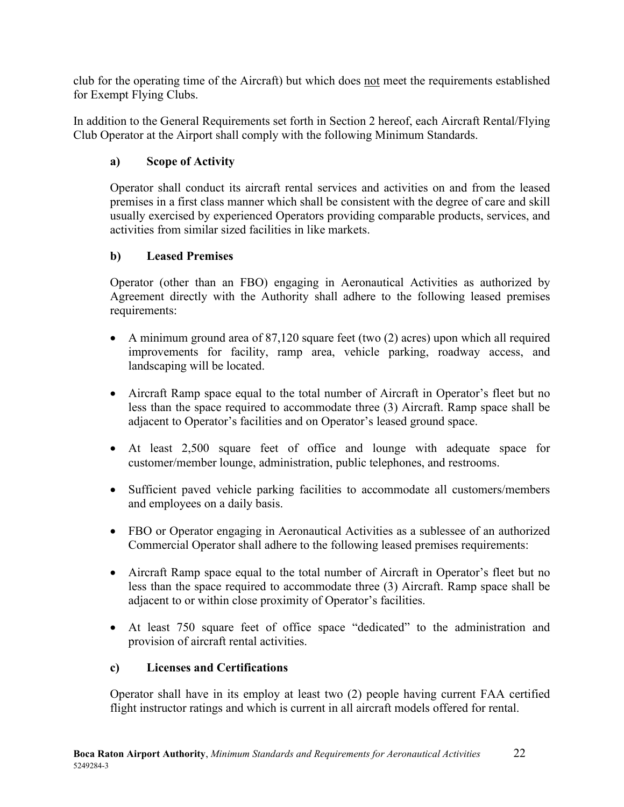club for the operating time of the Aircraft) but which does not meet the requirements established for Exempt Flying Clubs.

In addition to the General Requirements set forth in Section 2 hereof, each Aircraft Rental/Flying Club Operator at the Airport shall comply with the following Minimum Standards.

#### <span id="page-26-0"></span>**a) Scope of Activity**

Operator shall conduct its aircraft rental services and activities on and from the leased premises in a first class manner which shall be consistent with the degree of care and skill usually exercised by experienced Operators providing comparable products, services, and activities from similar sized facilities in like markets.

#### <span id="page-26-1"></span>**b) Leased Premises**

Operator (other than an FBO) engaging in Aeronautical Activities as authorized by Agreement directly with the Authority shall adhere to the following leased premises requirements:

- A minimum ground area of 87,120 square feet (two (2) acres) upon which all required improvements for facility, ramp area, vehicle parking, roadway access, and landscaping will be located.
- Aircraft Ramp space equal to the total number of Aircraft in Operator's fleet but no less than the space required to accommodate three (3) Aircraft. Ramp space shall be adjacent to Operator's facilities and on Operator's leased ground space.
- At least 2,500 square feet of office and lounge with adequate space for customer/member lounge, administration, public telephones, and restrooms.
- Sufficient paved vehicle parking facilities to accommodate all customers/members and employees on a daily basis.
- FBO or Operator engaging in Aeronautical Activities as a sublessee of an authorized Commercial Operator shall adhere to the following leased premises requirements:
- Aircraft Ramp space equal to the total number of Aircraft in Operator's fleet but no less than the space required to accommodate three (3) Aircraft. Ramp space shall be adjacent to or within close proximity of Operator's facilities.
- At least 750 square feet of office space "dedicated" to the administration and provision of aircraft rental activities.

#### <span id="page-26-2"></span>**c) Licenses and Certifications**

Operator shall have in its employ at least two (2) people having current FAA certified flight instructor ratings and which is current in all aircraft models offered for rental.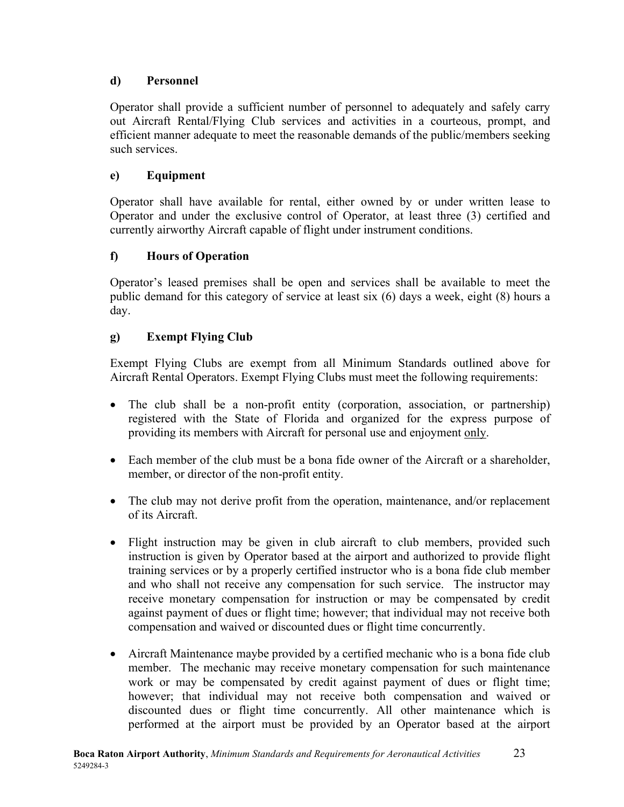#### <span id="page-27-0"></span>**d) Personnel**

Operator shall provide a sufficient number of personnel to adequately and safely carry out Aircraft Rental/Flying Club services and activities in a courteous, prompt, and efficient manner adequate to meet the reasonable demands of the public/members seeking such services.

# <span id="page-27-1"></span>**e) Equipment**

Operator shall have available for rental, either owned by or under written lease to Operator and under the exclusive control of Operator, at least three (3) certified and currently airworthy Aircraft capable of flight under instrument conditions.

# <span id="page-27-2"></span>**f) Hours of Operation**

Operator's leased premises shall be open and services shall be available to meet the public demand for this category of service at least six (6) days a week, eight (8) hours a day.

# <span id="page-27-3"></span>**g) Exempt Flying Club**

Exempt Flying Clubs are exempt from all Minimum Standards outlined above for Aircraft Rental Operators. Exempt Flying Clubs must meet the following requirements:

- The club shall be a non-profit entity (corporation, association, or partnership) registered with the State of Florida and organized for the express purpose of providing its members with Aircraft for personal use and enjoyment only.
- Each member of the club must be a bona fide owner of the Aircraft or a shareholder, member, or director of the non-profit entity.
- The club may not derive profit from the operation, maintenance, and/or replacement of its Aircraft.
- Flight instruction may be given in club aircraft to club members, provided such instruction is given by Operator based at the airport and authorized to provide flight training services or by a properly certified instructor who is a bona fide club member and who shall not receive any compensation for such service. The instructor may receive monetary compensation for instruction or may be compensated by credit against payment of dues or flight time; however; that individual may not receive both compensation and waived or discounted dues or flight time concurrently.
- Aircraft Maintenance maybe provided by a certified mechanic who is a bona fide club member. The mechanic may receive monetary compensation for such maintenance work or may be compensated by credit against payment of dues or flight time; however; that individual may not receive both compensation and waived or discounted dues or flight time concurrently. All other maintenance which is performed at the airport must be provided by an Operator based at the airport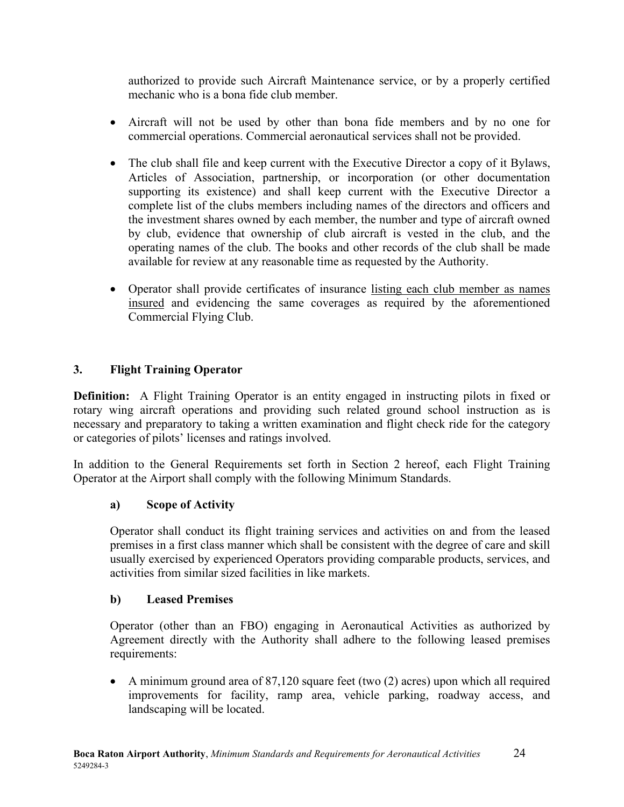authorized to provide such Aircraft Maintenance service, or by a properly certified mechanic who is a bona fide club member.

- Aircraft will not be used by other than bona fide members and by no one for commercial operations. Commercial aeronautical services shall not be provided.
- The club shall file and keep current with the Executive Director a copy of it Bylaws, Articles of Association, partnership, or incorporation (or other documentation supporting its existence) and shall keep current with the Executive Director a complete list of the clubs members including names of the directors and officers and the investment shares owned by each member, the number and type of aircraft owned by club, evidence that ownership of club aircraft is vested in the club, and the operating names of the club. The books and other records of the club shall be made available for review at any reasonable time as requested by the Authority.
- Operator shall provide certificates of insurance listing each club member as names insured and evidencing the same coverages as required by the aforementioned Commercial Flying Club.

#### <span id="page-28-0"></span>**3. Flight Training Operator**

**Definition:** A Flight Training Operator is an entity engaged in instructing pilots in fixed or rotary wing aircraft operations and providing such related ground school instruction as is necessary and preparatory to taking a written examination and flight check ride for the category or categories of pilots' licenses and ratings involved.

In addition to the General Requirements set forth in Section 2 hereof, each Flight Training Operator at the Airport shall comply with the following Minimum Standards.

#### <span id="page-28-1"></span>**a) Scope of Activity**

Operator shall conduct its flight training services and activities on and from the leased premises in a first class manner which shall be consistent with the degree of care and skill usually exercised by experienced Operators providing comparable products, services, and activities from similar sized facilities in like markets.

#### <span id="page-28-2"></span>**b) Leased Premises**

Operator (other than an FBO) engaging in Aeronautical Activities as authorized by Agreement directly with the Authority shall adhere to the following leased premises requirements:

• A minimum ground area of 87,120 square feet (two (2) acres) upon which all required improvements for facility, ramp area, vehicle parking, roadway access, and landscaping will be located.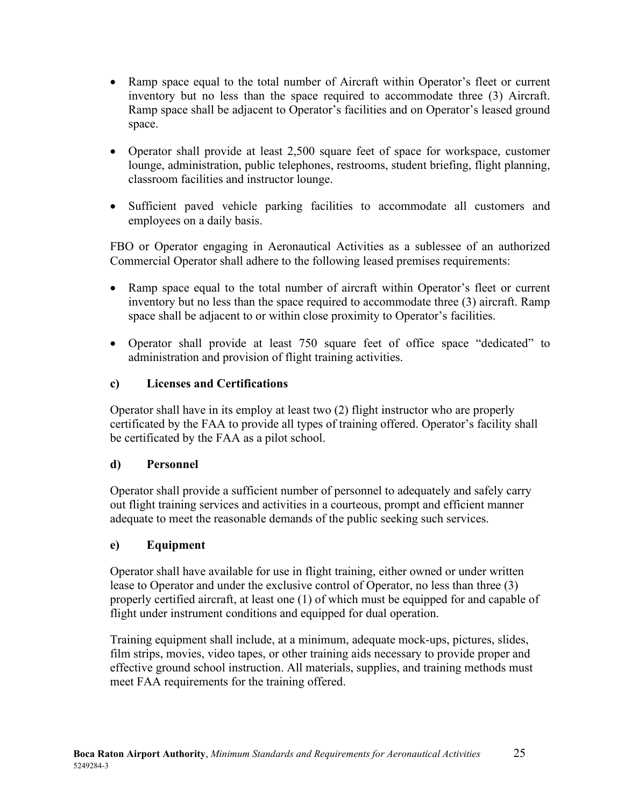- Ramp space equal to the total number of Aircraft within Operator's fleet or current inventory but no less than the space required to accommodate three (3) Aircraft. Ramp space shall be adjacent to Operator's facilities and on Operator's leased ground space.
- Operator shall provide at least 2,500 square feet of space for workspace, customer lounge, administration, public telephones, restrooms, student briefing, flight planning, classroom facilities and instructor lounge.
- Sufficient paved vehicle parking facilities to accommodate all customers and employees on a daily basis.

FBO or Operator engaging in Aeronautical Activities as a sublessee of an authorized Commercial Operator shall adhere to the following leased premises requirements:

- Ramp space equal to the total number of aircraft within Operator's fleet or current inventory but no less than the space required to accommodate three (3) aircraft. Ramp space shall be adjacent to or within close proximity to Operator's facilities.
- Operator shall provide at least 750 square feet of office space "dedicated" to administration and provision of flight training activities.

#### <span id="page-29-0"></span>**c) Licenses and Certifications**

Operator shall have in its employ at least two (2) flight instructor who are properly certificated by the FAA to provide all types of training offered. Operator's facility shall be certificated by the FAA as a pilot school.

#### <span id="page-29-1"></span>**d) Personnel**

Operator shall provide a sufficient number of personnel to adequately and safely carry out flight training services and activities in a courteous, prompt and efficient manner adequate to meet the reasonable demands of the public seeking such services.

#### <span id="page-29-2"></span>**e) Equipment**

Operator shall have available for use in flight training, either owned or under written lease to Operator and under the exclusive control of Operator, no less than three (3) properly certified aircraft, at least one (1) of which must be equipped for and capable of flight under instrument conditions and equipped for dual operation.

Training equipment shall include, at a minimum, adequate mock-ups, pictures, slides, film strips, movies, video tapes, or other training aids necessary to provide proper and effective ground school instruction. All materials, supplies, and training methods must meet FAA requirements for the training offered.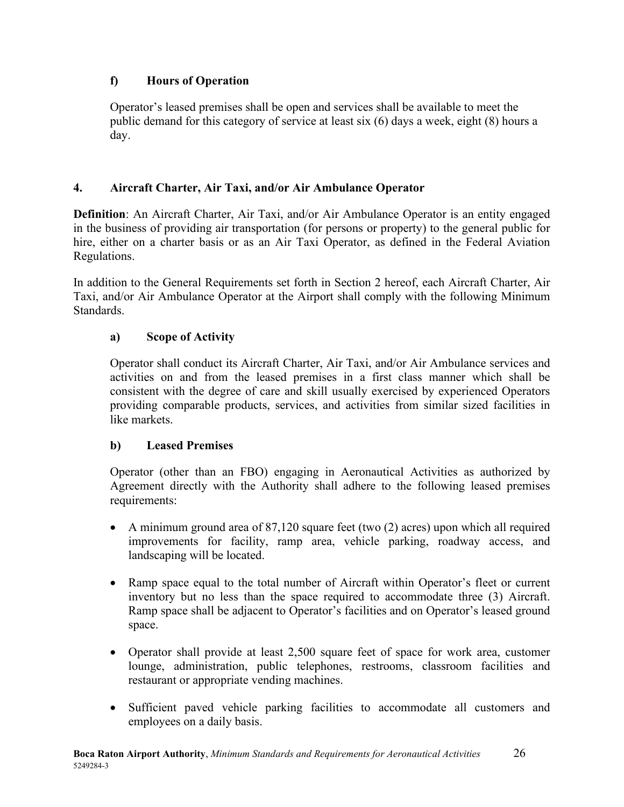### <span id="page-30-0"></span>**f) Hours of Operation**

Operator's leased premises shall be open and services shall be available to meet the public demand for this category of service at least six (6) days a week, eight (8) hours a day.

#### <span id="page-30-1"></span>**4. Aircraft Charter, Air Taxi, and/or Air Ambulance Operator**

**Definition**: An Aircraft Charter, Air Taxi, and/or Air Ambulance Operator is an entity engaged in the business of providing air transportation (for persons or property) to the general public for hire, either on a charter basis or as an Air Taxi Operator, as defined in the Federal Aviation Regulations.

In addition to the General Requirements set forth in Section 2 hereof, each Aircraft Charter, Air Taxi, and/or Air Ambulance Operator at the Airport shall comply with the following Minimum Standards.

#### <span id="page-30-2"></span>**a) Scope of Activity**

Operator shall conduct its Aircraft Charter, Air Taxi, and/or Air Ambulance services and activities on and from the leased premises in a first class manner which shall be consistent with the degree of care and skill usually exercised by experienced Operators providing comparable products, services, and activities from similar sized facilities in like markets.

#### <span id="page-30-3"></span>**b) Leased Premises**

Operator (other than an FBO) engaging in Aeronautical Activities as authorized by Agreement directly with the Authority shall adhere to the following leased premises requirements:

- A minimum ground area of 87,120 square feet (two (2) acres) upon which all required improvements for facility, ramp area, vehicle parking, roadway access, and landscaping will be located.
- Ramp space equal to the total number of Aircraft within Operator's fleet or current inventory but no less than the space required to accommodate three (3) Aircraft. Ramp space shall be adjacent to Operator's facilities and on Operator's leased ground space.
- Operator shall provide at least 2,500 square feet of space for work area, customer lounge, administration, public telephones, restrooms, classroom facilities and restaurant or appropriate vending machines.
- Sufficient paved vehicle parking facilities to accommodate all customers and employees on a daily basis.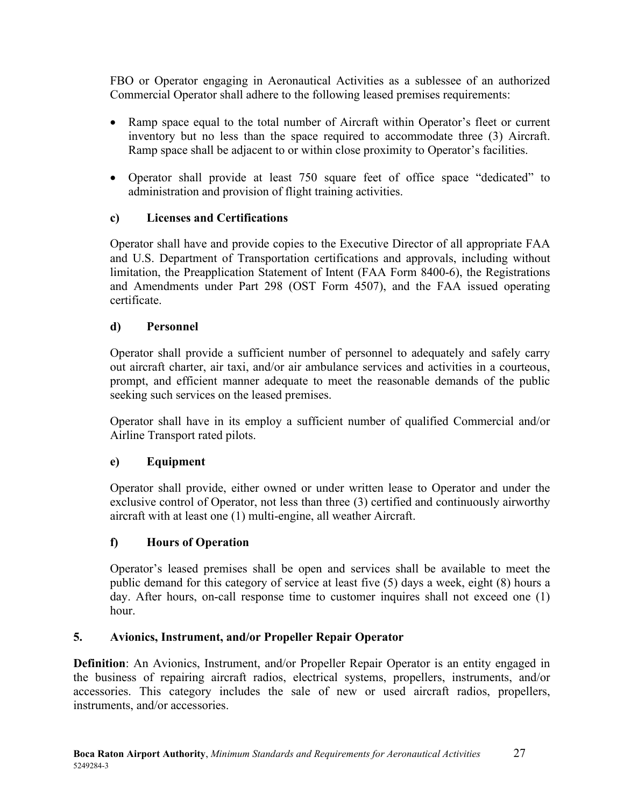FBO or Operator engaging in Aeronautical Activities as a sublessee of an authorized Commercial Operator shall adhere to the following leased premises requirements:

- Ramp space equal to the total number of Aircraft within Operator's fleet or current inventory but no less than the space required to accommodate three (3) Aircraft. Ramp space shall be adjacent to or within close proximity to Operator's facilities.
- Operator shall provide at least 750 square feet of office space "dedicated" to administration and provision of flight training activities.

#### <span id="page-31-0"></span>**c) Licenses and Certifications**

Operator shall have and provide copies to the Executive Director of all appropriate FAA and U.S. Department of Transportation certifications and approvals, including without limitation, the Preapplication Statement of Intent (FAA Form 8400-6), the Registrations and Amendments under Part 298 (OST Form 4507), and the FAA issued operating certificate.

#### <span id="page-31-1"></span>**d) Personnel**

Operator shall provide a sufficient number of personnel to adequately and safely carry out aircraft charter, air taxi, and/or air ambulance services and activities in a courteous, prompt, and efficient manner adequate to meet the reasonable demands of the public seeking such services on the leased premises.

Operator shall have in its employ a sufficient number of qualified Commercial and/or Airline Transport rated pilots.

#### <span id="page-31-2"></span>**e) Equipment**

Operator shall provide, either owned or under written lease to Operator and under the exclusive control of Operator, not less than three (3) certified and continuously airworthy aircraft with at least one (1) multi-engine, all weather Aircraft.

#### <span id="page-31-3"></span>**f) Hours of Operation**

Operator's leased premises shall be open and services shall be available to meet the public demand for this category of service at least five (5) days a week, eight (8) hours a day. After hours, on-call response time to customer inquires shall not exceed one (1) hour.

#### <span id="page-31-4"></span>**5. Avionics, Instrument, and/or Propeller Repair Operator**

**Definition**: An Avionics, Instrument, and/or Propeller Repair Operator is an entity engaged in the business of repairing aircraft radios, electrical systems, propellers, instruments, and/or accessories. This category includes the sale of new or used aircraft radios, propellers, instruments, and/or accessories.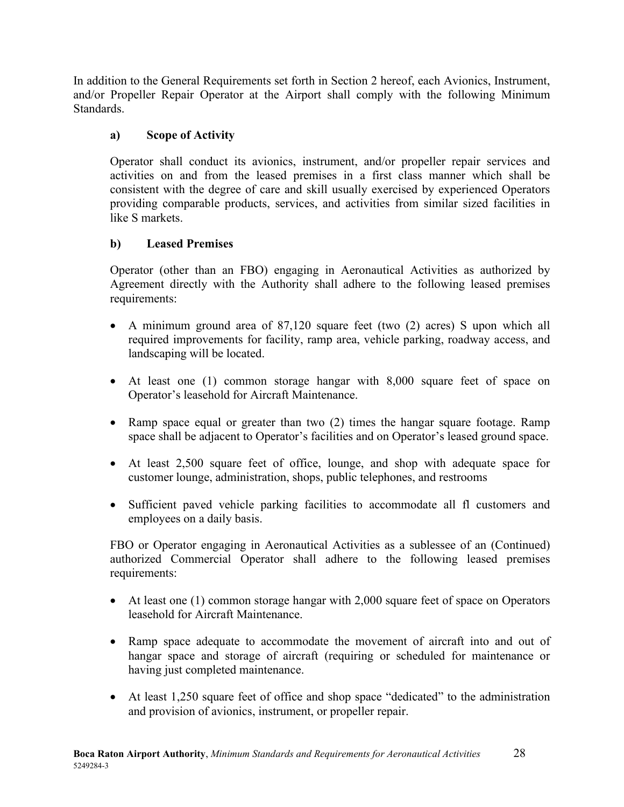In addition to the General Requirements set forth in Section 2 hereof, each Avionics, Instrument, and/or Propeller Repair Operator at the Airport shall comply with the following Minimum Standards.

#### <span id="page-32-0"></span>**a) Scope of Activity**

Operator shall conduct its avionics, instrument, and/or propeller repair services and activities on and from the leased premises in a first class manner which shall be consistent with the degree of care and skill usually exercised by experienced Operators providing comparable products, services, and activities from similar sized facilities in like S markets.

#### <span id="page-32-1"></span>**b) Leased Premises**

Operator (other than an FBO) engaging in Aeronautical Activities as authorized by Agreement directly with the Authority shall adhere to the following leased premises requirements:

- A minimum ground area of 87,120 square feet (two (2) acres) S upon which all required improvements for facility, ramp area, vehicle parking, roadway access, and landscaping will be located.
- At least one (1) common storage hangar with 8,000 square feet of space on Operator's leasehold for Aircraft Maintenance.
- Ramp space equal or greater than two (2) times the hangar square footage. Ramp space shall be adjacent to Operator's facilities and on Operator's leased ground space.
- At least 2,500 square feet of office, lounge, and shop with adequate space for customer lounge, administration, shops, public telephones, and restrooms
- Sufficient paved vehicle parking facilities to accommodate all fl customers and employees on a daily basis.

FBO or Operator engaging in Aeronautical Activities as a sublessee of an (Continued) authorized Commercial Operator shall adhere to the following leased premises requirements:

- At least one (1) common storage hangar with 2,000 square feet of space on Operators leasehold for Aircraft Maintenance.
- Ramp space adequate to accommodate the movement of aircraft into and out of hangar space and storage of aircraft (requiring or scheduled for maintenance or having just completed maintenance.
- At least 1,250 square feet of office and shop space "dedicated" to the administration and provision of avionics, instrument, or propeller repair.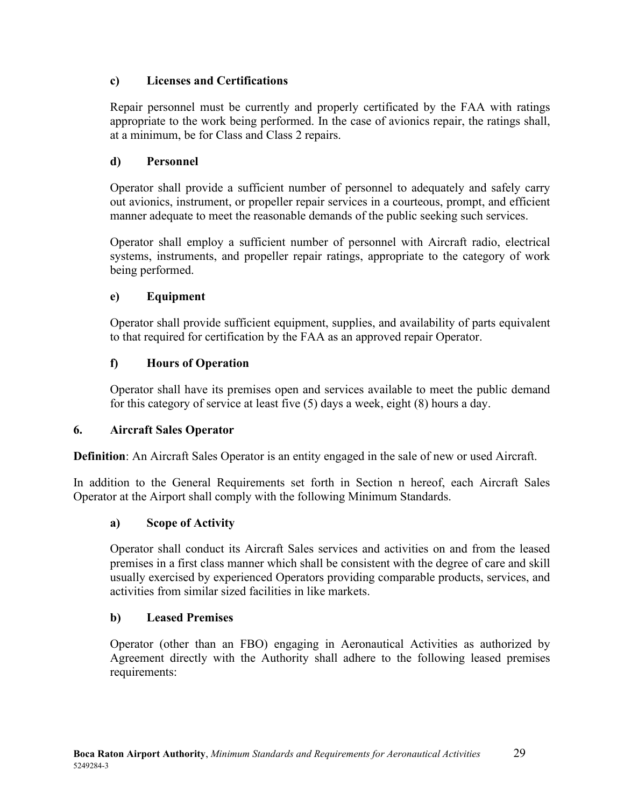#### <span id="page-33-0"></span>**c) Licenses and Certifications**

Repair personnel must be currently and properly certificated by the FAA with ratings appropriate to the work being performed. In the case of avionics repair, the ratings shall, at a minimum, be for Class and Class 2 repairs.

#### <span id="page-33-1"></span>**d) Personnel**

Operator shall provide a sufficient number of personnel to adequately and safely carry out avionics, instrument, or propeller repair services in a courteous, prompt, and efficient manner adequate to meet the reasonable demands of the public seeking such services.

Operator shall employ a sufficient number of personnel with Aircraft radio, electrical systems, instruments, and propeller repair ratings, appropriate to the category of work being performed.

#### <span id="page-33-2"></span>**e) Equipment**

Operator shall provide sufficient equipment, supplies, and availability of parts equivalent to that required for certification by the FAA as an approved repair Operator.

#### <span id="page-33-3"></span>**f) Hours of Operation**

Operator shall have its premises open and services available to meet the public demand for this category of service at least five (5) days a week, eight (8) hours a day.

#### <span id="page-33-4"></span>**6. Aircraft Sales Operator**

**Definition**: An Aircraft Sales Operator is an entity engaged in the sale of new or used Aircraft.

In addition to the General Requirements set forth in Section n hereof, each Aircraft Sales Operator at the Airport shall comply with the following Minimum Standards.

#### <span id="page-33-5"></span>**a) Scope of Activity**

Operator shall conduct its Aircraft Sales services and activities on and from the leased premises in a first class manner which shall be consistent with the degree of care and skill usually exercised by experienced Operators providing comparable products, services, and activities from similar sized facilities in like markets.

#### <span id="page-33-6"></span>**b) Leased Premises**

Operator (other than an FBO) engaging in Aeronautical Activities as authorized by Agreement directly with the Authority shall adhere to the following leased premises requirements: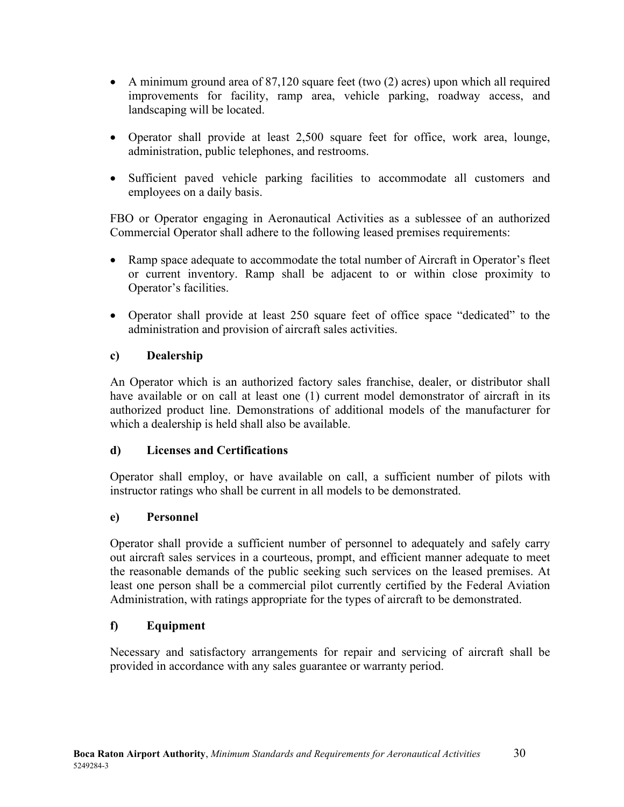- A minimum ground area of 87,120 square feet (two (2) acres) upon which all required improvements for facility, ramp area, vehicle parking, roadway access, and landscaping will be located.
- Operator shall provide at least 2,500 square feet for office, work area, lounge, administration, public telephones, and restrooms.
- Sufficient paved vehicle parking facilities to accommodate all customers and employees on a daily basis.

FBO or Operator engaging in Aeronautical Activities as a sublessee of an authorized Commercial Operator shall adhere to the following leased premises requirements:

- Ramp space adequate to accommodate the total number of Aircraft in Operator's fleet or current inventory. Ramp shall be adjacent to or within close proximity to Operator's facilities.
- Operator shall provide at least 250 square feet of office space "dedicated" to the administration and provision of aircraft sales activities.

#### <span id="page-34-0"></span>**c) Dealership**

An Operator which is an authorized factory sales franchise, dealer, or distributor shall have available or on call at least one (1) current model demonstrator of aircraft in its authorized product line. Demonstrations of additional models of the manufacturer for which a dealership is held shall also be available.

#### <span id="page-34-1"></span>**d) Licenses and Certifications**

Operator shall employ, or have available on call, a sufficient number of pilots with instructor ratings who shall be current in all models to be demonstrated.

#### <span id="page-34-2"></span>**e) Personnel**

Operator shall provide a sufficient number of personnel to adequately and safely carry out aircraft sales services in a courteous, prompt, and efficient manner adequate to meet the reasonable demands of the public seeking such services on the leased premises. At least one person shall be a commercial pilot currently certified by the Federal Aviation Administration, with ratings appropriate for the types of aircraft to be demonstrated.

# <span id="page-34-3"></span>**f) Equipment**

Necessary and satisfactory arrangements for repair and servicing of aircraft shall be provided in accordance with any sales guarantee or warranty period.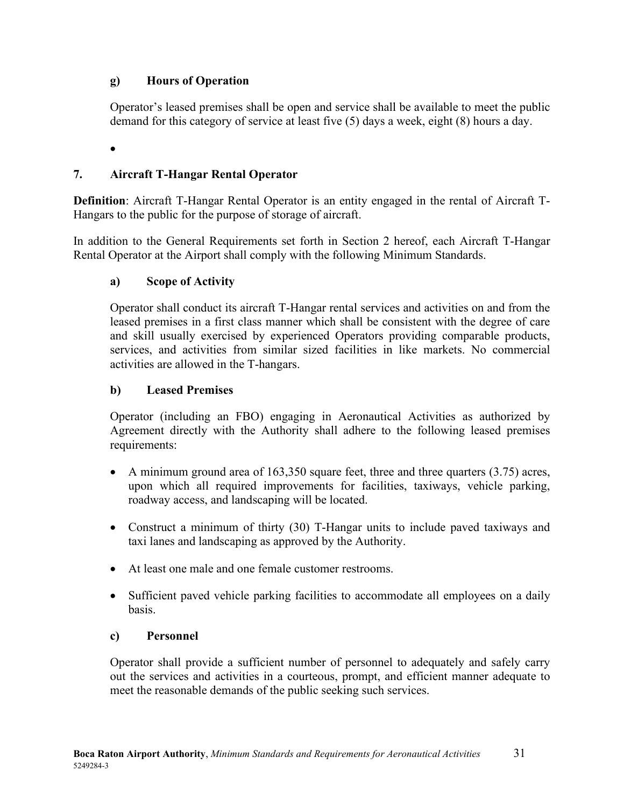#### <span id="page-35-0"></span>**g) Hours of Operation**

Operator's leased premises shall be open and service shall be available to meet the public demand for this category of service at least five (5) days a week, eight (8) hours a day.

•

# <span id="page-35-1"></span>**7. Aircraft T-Hangar Rental Operator**

**Definition**: Aircraft T-Hangar Rental Operator is an entity engaged in the rental of Aircraft T-Hangars to the public for the purpose of storage of aircraft.

In addition to the General Requirements set forth in Section 2 hereof, each Aircraft T-Hangar Rental Operator at the Airport shall comply with the following Minimum Standards.

#### <span id="page-35-2"></span>**a) Scope of Activity**

Operator shall conduct its aircraft T-Hangar rental services and activities on and from the leased premises in a first class manner which shall be consistent with the degree of care and skill usually exercised by experienced Operators providing comparable products, services, and activities from similar sized facilities in like markets. No commercial activities are allowed in the T-hangars.

#### <span id="page-35-3"></span>**b) Leased Premises**

Operator (including an FBO) engaging in Aeronautical Activities as authorized by Agreement directly with the Authority shall adhere to the following leased premises requirements:

- A minimum ground area of 163,350 square feet, three and three quarters (3.75) acres, upon which all required improvements for facilities, taxiways, vehicle parking, roadway access, and landscaping will be located.
- Construct a minimum of thirty (30) T-Hangar units to include paved taxiways and taxi lanes and landscaping as approved by the Authority.
- At least one male and one female customer restrooms.
- Sufficient paved vehicle parking facilities to accommodate all employees on a daily basis.

#### <span id="page-35-4"></span>**c) Personnel**

Operator shall provide a sufficient number of personnel to adequately and safely carry out the services and activities in a courteous, prompt, and efficient manner adequate to meet the reasonable demands of the public seeking such services.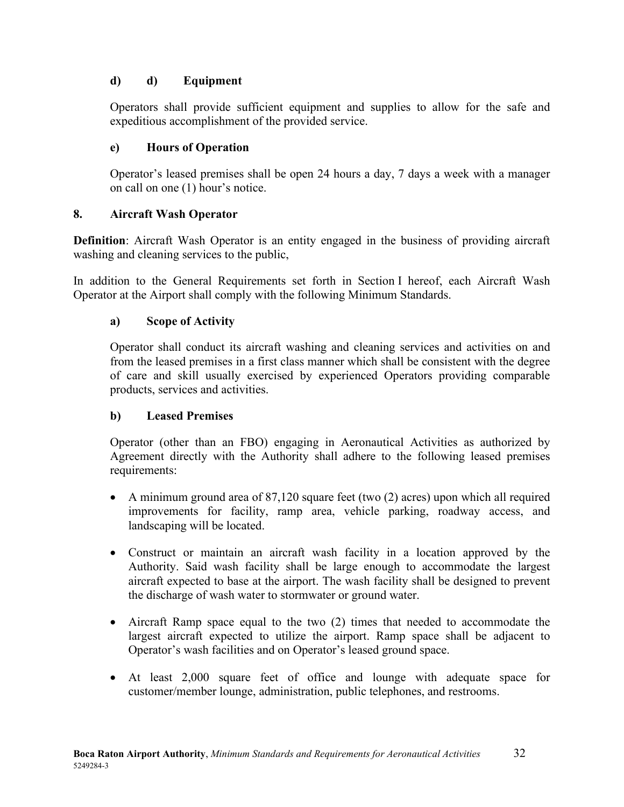### <span id="page-36-0"></span>**d) d) Equipment**

Operators shall provide sufficient equipment and supplies to allow for the safe and expeditious accomplishment of the provided service.

#### <span id="page-36-1"></span>**e) Hours of Operation**

Operator's leased premises shall be open 24 hours a day, 7 days a week with a manager on call on one (1) hour's notice.

#### <span id="page-36-2"></span>**8. Aircraft Wash Operator**

**Definition**: Aircraft Wash Operator is an entity engaged in the business of providing aircraft washing and cleaning services to the public,

In addition to the General Requirements set forth in Section I hereof, each Aircraft Wash Operator at the Airport shall comply with the following Minimum Standards.

#### <span id="page-36-3"></span>**a) Scope of Activity**

Operator shall conduct its aircraft washing and cleaning services and activities on and from the leased premises in a first class manner which shall be consistent with the degree of care and skill usually exercised by experienced Operators providing comparable products, services and activities.

#### <span id="page-36-4"></span>**b) Leased Premises**

Operator (other than an FBO) engaging in Aeronautical Activities as authorized by Agreement directly with the Authority shall adhere to the following leased premises requirements:

- A minimum ground area of 87,120 square feet (two (2) acres) upon which all required improvements for facility, ramp area, vehicle parking, roadway access, and landscaping will be located.
- Construct or maintain an aircraft wash facility in a location approved by the Authority. Said wash facility shall be large enough to accommodate the largest aircraft expected to base at the airport. The wash facility shall be designed to prevent the discharge of wash water to stormwater or ground water.
- Aircraft Ramp space equal to the two (2) times that needed to accommodate the largest aircraft expected to utilize the airport. Ramp space shall be adjacent to Operator's wash facilities and on Operator's leased ground space.
- At least 2,000 square feet of office and lounge with adequate space for customer/member lounge, administration, public telephones, and restrooms.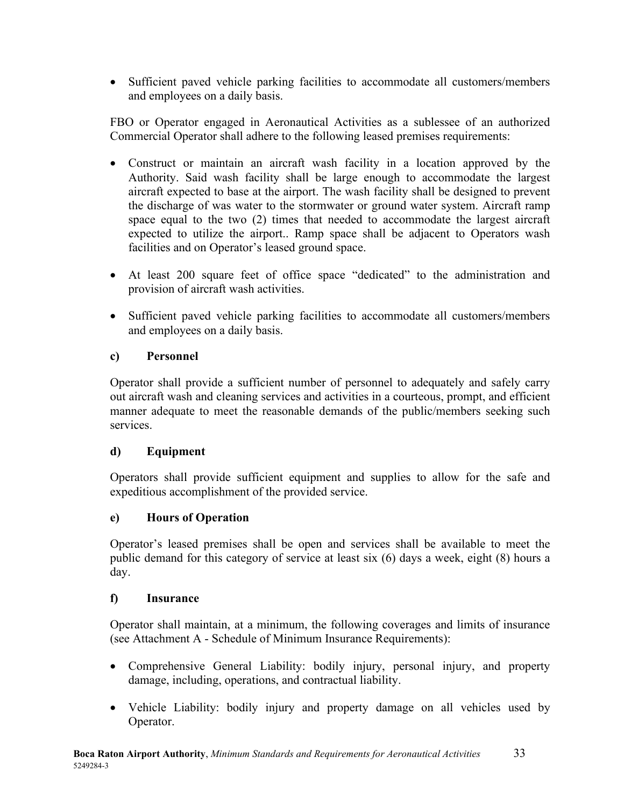• Sufficient paved vehicle parking facilities to accommodate all customers/members and employees on a daily basis.

FBO or Operator engaged in Aeronautical Activities as a sublessee of an authorized Commercial Operator shall adhere to the following leased premises requirements:

- Construct or maintain an aircraft wash facility in a location approved by the Authority. Said wash facility shall be large enough to accommodate the largest aircraft expected to base at the airport. The wash facility shall be designed to prevent the discharge of was water to the stormwater or ground water system. Aircraft ramp space equal to the two (2) times that needed to accommodate the largest aircraft expected to utilize the airport.. Ramp space shall be adjacent to Operators wash facilities and on Operator's leased ground space.
- At least 200 square feet of office space "dedicated" to the administration and provision of aircraft wash activities.
- Sufficient paved vehicle parking facilities to accommodate all customers/members and employees on a daily basis.

#### <span id="page-37-0"></span>**c) Personnel**

Operator shall provide a sufficient number of personnel to adequately and safely carry out aircraft wash and cleaning services and activities in a courteous, prompt, and efficient manner adequate to meet the reasonable demands of the public/members seeking such services.

#### <span id="page-37-1"></span>**d) Equipment**

Operators shall provide sufficient equipment and supplies to allow for the safe and expeditious accomplishment of the provided service.

#### <span id="page-37-2"></span>**e) Hours of Operation**

Operator's leased premises shall be open and services shall be available to meet the public demand for this category of service at least six (6) days a week, eight (8) hours a day.

#### <span id="page-37-3"></span>**f) Insurance**

Operator shall maintain, at a minimum, the following coverages and limits of insurance (see Attachment A - Schedule of Minimum Insurance Requirements):

- Comprehensive General Liability: bodily injury, personal injury, and property damage, including, operations, and contractual liability.
- Vehicle Liability: bodily injury and property damage on all vehicles used by Operator.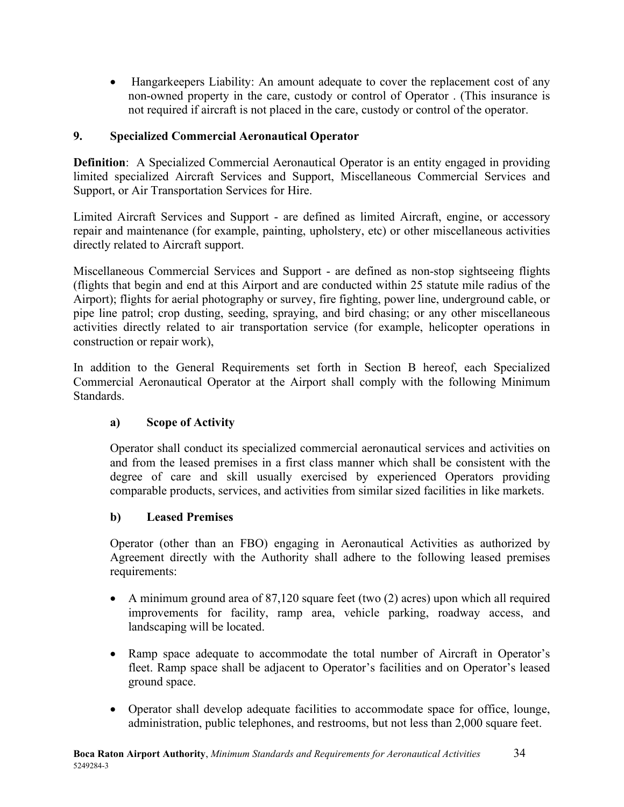• Hangarkeepers Liability: An amount adequate to cover the replacement cost of any non-owned property in the care, custody or control of Operator . (This insurance is not required if aircraft is not placed in the care, custody or control of the operator.

#### <span id="page-38-0"></span>**9. Specialized Commercial Aeronautical Operator**

**Definition**: A Specialized Commercial Aeronautical Operator is an entity engaged in providing limited specialized Aircraft Services and Support, Miscellaneous Commercial Services and Support, or Air Transportation Services for Hire.

Limited Aircraft Services and Support - are defined as limited Aircraft, engine, or accessory repair and maintenance (for example, painting, upholstery, etc) or other miscellaneous activities directly related to Aircraft support.

Miscellaneous Commercial Services and Support - are defined as non-stop sightseeing flights (flights that begin and end at this Airport and are conducted within 25 statute mile radius of the Airport); flights for aerial photography or survey, fire fighting, power line, underground cable, or pipe line patrol; crop dusting, seeding, spraying, and bird chasing; or any other miscellaneous activities directly related to air transportation service (for example, helicopter operations in construction or repair work),

In addition to the General Requirements set forth in Section B hereof, each Specialized Commercial Aeronautical Operator at the Airport shall comply with the following Minimum Standards.

# <span id="page-38-1"></span>**a) Scope of Activity**

Operator shall conduct its specialized commercial aeronautical services and activities on and from the leased premises in a first class manner which shall be consistent with the degree of care and skill usually exercised by experienced Operators providing comparable products, services, and activities from similar sized facilities in like markets.

#### <span id="page-38-2"></span>**b) Leased Premises**

Operator (other than an FBO) engaging in Aeronautical Activities as authorized by Agreement directly with the Authority shall adhere to the following leased premises requirements:

- A minimum ground area of 87,120 square feet (two (2) acres) upon which all required improvements for facility, ramp area, vehicle parking, roadway access, and landscaping will be located.
- Ramp space adequate to accommodate the total number of Aircraft in Operator's fleet. Ramp space shall be adjacent to Operator's facilities and on Operator's leased ground space.
- Operator shall develop adequate facilities to accommodate space for office, lounge, administration, public telephones, and restrooms, but not less than 2,000 square feet.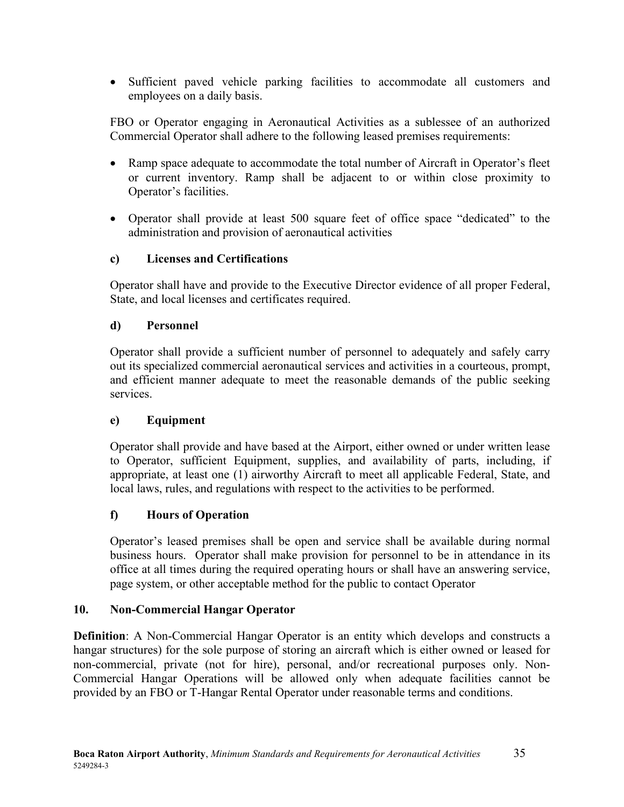• Sufficient paved vehicle parking facilities to accommodate all customers and employees on a daily basis.

FBO or Operator engaging in Aeronautical Activities as a sublessee of an authorized Commercial Operator shall adhere to the following leased premises requirements:

- Ramp space adequate to accommodate the total number of Aircraft in Operator's fleet or current inventory. Ramp shall be adjacent to or within close proximity to Operator's facilities.
- Operator shall provide at least 500 square feet of office space "dedicated" to the administration and provision of aeronautical activities

#### <span id="page-39-0"></span>**c) Licenses and Certifications**

Operator shall have and provide to the Executive Director evidence of all proper Federal, State, and local licenses and certificates required.

#### <span id="page-39-1"></span>**d) Personnel**

Operator shall provide a sufficient number of personnel to adequately and safely carry out its specialized commercial aeronautical services and activities in a courteous, prompt, and efficient manner adequate to meet the reasonable demands of the public seeking services.

#### <span id="page-39-2"></span>**e) Equipment**

Operator shall provide and have based at the Airport, either owned or under written lease to Operator, sufficient Equipment, supplies, and availability of parts, including, if appropriate, at least one (1) airworthy Aircraft to meet all applicable Federal, State, and local laws, rules, and regulations with respect to the activities to be performed.

# <span id="page-39-3"></span>**f) Hours of Operation**

Operator's leased premises shall be open and service shall be available during normal business hours. Operator shall make provision for personnel to be in attendance in its office at all times during the required operating hours or shall have an answering service, page system, or other acceptable method for the public to contact Operator

#### <span id="page-39-4"></span>**10. Non-Commercial Hangar Operator**

**Definition**: A Non-Commercial Hangar Operator is an entity which develops and constructs a hangar structures) for the sole purpose of storing an aircraft which is either owned or leased for non-commercial, private (not for hire), personal, and/or recreational purposes only. Non-Commercial Hangar Operations will be allowed only when adequate facilities cannot be provided by an FBO or T-Hangar Rental Operator under reasonable terms and conditions.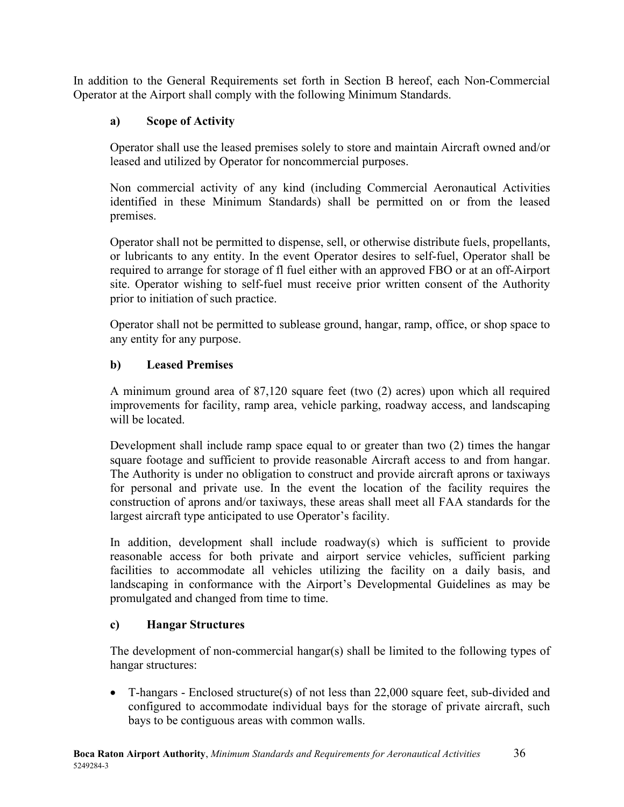In addition to the General Requirements set forth in Section B hereof, each Non-Commercial Operator at the Airport shall comply with the following Minimum Standards.

# <span id="page-40-0"></span>**a) Scope of Activity**

Operator shall use the leased premises solely to store and maintain Aircraft owned and/or leased and utilized by Operator for noncommercial purposes.

Non commercial activity of any kind (including Commercial Aeronautical Activities identified in these Minimum Standards) shall be permitted on or from the leased premises.

Operator shall not be permitted to dispense, sell, or otherwise distribute fuels, propellants, or lubricants to any entity. In the event Operator desires to self-fuel, Operator shall be required to arrange for storage of fl fuel either with an approved FBO or at an off-Airport site. Operator wishing to self-fuel must receive prior written consent of the Authority prior to initiation of such practice.

Operator shall not be permitted to sublease ground, hangar, ramp, office, or shop space to any entity for any purpose.

# <span id="page-40-1"></span>**b) Leased Premises**

A minimum ground area of 87,120 square feet (two (2) acres) upon which all required improvements for facility, ramp area, vehicle parking, roadway access, and landscaping will be located.

Development shall include ramp space equal to or greater than two (2) times the hangar square footage and sufficient to provide reasonable Aircraft access to and from hangar. The Authority is under no obligation to construct and provide aircraft aprons or taxiways for personal and private use. In the event the location of the facility requires the construction of aprons and/or taxiways, these areas shall meet all FAA standards for the largest aircraft type anticipated to use Operator's facility.

In addition, development shall include roadway(s) which is sufficient to provide reasonable access for both private and airport service vehicles, sufficient parking facilities to accommodate all vehicles utilizing the facility on a daily basis, and landscaping in conformance with the Airport's Developmental Guidelines as may be promulgated and changed from time to time.

# <span id="page-40-2"></span>**c) Hangar Structures**

The development of non-commercial hangar(s) shall be limited to the following types of hangar structures:

• T-hangars - Enclosed structure(s) of not less than 22,000 square feet, sub-divided and configured to accommodate individual bays for the storage of private aircraft, such bays to be contiguous areas with common walls.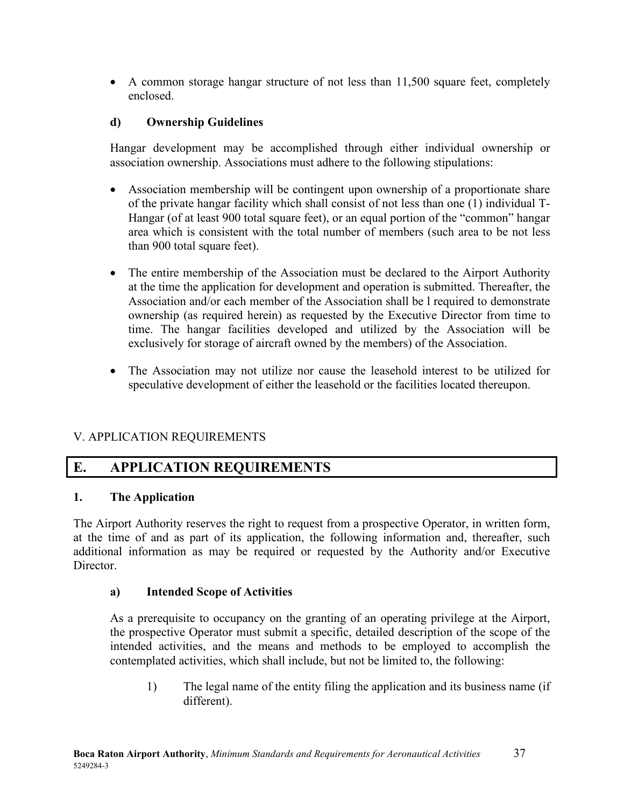• A common storage hangar structure of not less than 11,500 square feet, completely enclosed.

#### <span id="page-41-0"></span>**d) Ownership Guidelines**

Hangar development may be accomplished through either individual ownership or association ownership. Associations must adhere to the following stipulations:

- Association membership will be contingent upon ownership of a proportionate share of the private hangar facility which shall consist of not less than one (1) individual T-Hangar (of at least 900 total square feet), or an equal portion of the "common" hangar area which is consistent with the total number of members (such area to be not less than 900 total square feet).
- The entire membership of the Association must be declared to the Airport Authority at the time the application for development and operation is submitted. Thereafter, the Association and/or each member of the Association shall be l required to demonstrate ownership (as required herein) as requested by the Executive Director from time to time. The hangar facilities developed and utilized by the Association will be exclusively for storage of aircraft owned by the members) of the Association.
- The Association may not utilize nor cause the leasehold interest to be utilized for speculative development of either the leasehold or the facilities located thereupon.

# V. APPLICATION REQUIREMENTS

# <span id="page-41-1"></span>**E. APPLICATION REQUIREMENTS**

#### <span id="page-41-2"></span>**1. The Application**

The Airport Authority reserves the right to request from a prospective Operator, in written form, at the time of and as part of its application, the following information and, thereafter, such additional information as may be required or requested by the Authority and/or Executive Director.

#### <span id="page-41-3"></span>**a) Intended Scope of Activities**

As a prerequisite to occupancy on the granting of an operating privilege at the Airport, the prospective Operator must submit a specific, detailed description of the scope of the intended activities, and the means and methods to be employed to accomplish the contemplated activities, which shall include, but not be limited to, the following:

1) The legal name of the entity filing the application and its business name (if different).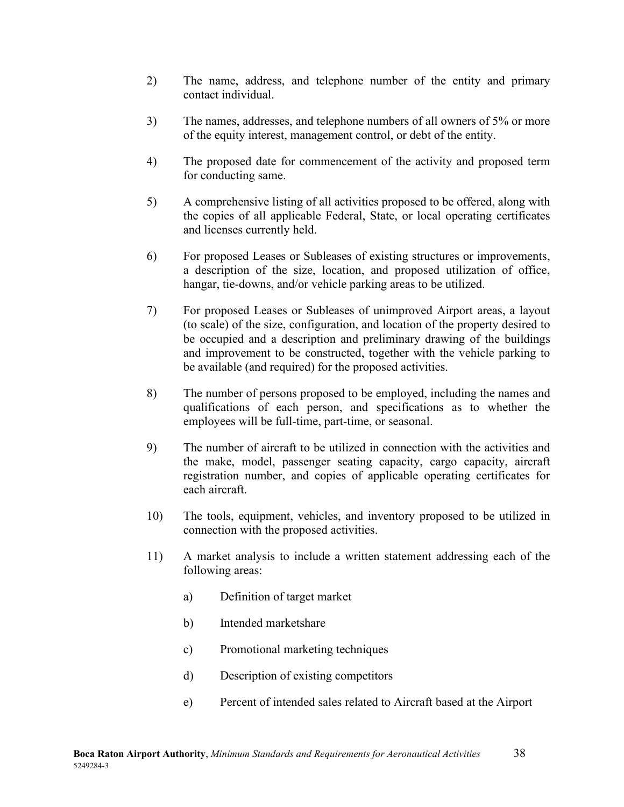- 2) The name, address, and telephone number of the entity and primary contact individual.
- 3) The names, addresses, and telephone numbers of all owners of 5% or more of the equity interest, management control, or debt of the entity.
- 4) The proposed date for commencement of the activity and proposed term for conducting same.
- 5) A comprehensive listing of all activities proposed to be offered, along with the copies of all applicable Federal, State, or local operating certificates and licenses currently held.
- 6) For proposed Leases or Subleases of existing structures or improvements, a description of the size, location, and proposed utilization of office, hangar, tie-downs, and/or vehicle parking areas to be utilized.
- 7) For proposed Leases or Subleases of unimproved Airport areas, a layout (to scale) of the size, configuration, and location of the property desired to be occupied and a description and preliminary drawing of the buildings and improvement to be constructed, together with the vehicle parking to be available (and required) for the proposed activities.
- 8) The number of persons proposed to be employed, including the names and qualifications of each person, and specifications as to whether the employees will be full-time, part-time, or seasonal.
- 9) The number of aircraft to be utilized in connection with the activities and the make, model, passenger seating capacity, cargo capacity, aircraft registration number, and copies of applicable operating certificates for each aircraft.
- 10) The tools, equipment, vehicles, and inventory proposed to be utilized in connection with the proposed activities.
- 11) A market analysis to include a written statement addressing each of the following areas:
	- a) Definition of target market
	- b) Intended marketshare
	- c) Promotional marketing techniques
	- d) Description of existing competitors
	- e) Percent of intended sales related to Aircraft based at the Airport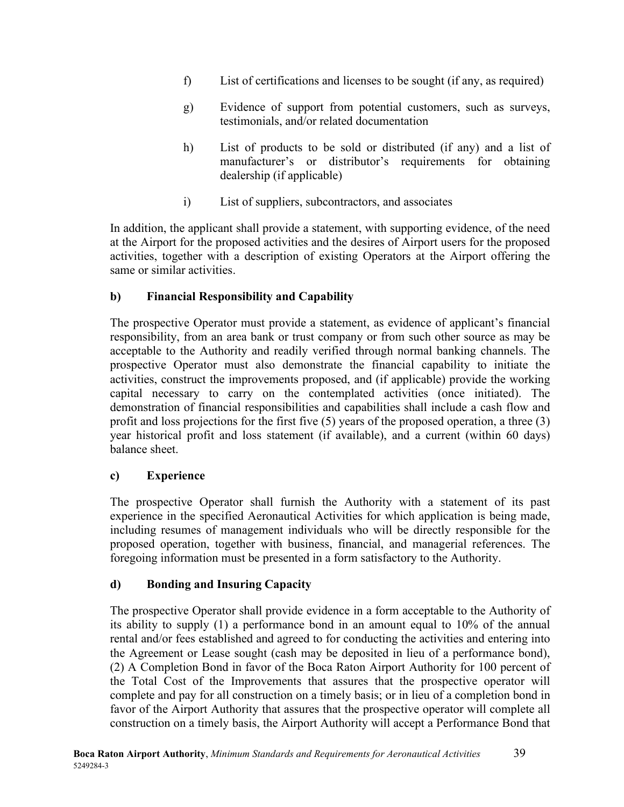- f) List of certifications and licenses to be sought (if any, as required)
- g) Evidence of support from potential customers, such as surveys, testimonials, and/or related documentation
- h) List of products to be sold or distributed (if any) and a list of manufacturer's or distributor's requirements for obtaining dealership (if applicable)
- i) List of suppliers, subcontractors, and associates

In addition, the applicant shall provide a statement, with supporting evidence, of the need at the Airport for the proposed activities and the desires of Airport users for the proposed activities, together with a description of existing Operators at the Airport offering the same or similar activities.

# <span id="page-43-0"></span>**b) Financial Responsibility and Capability**

The prospective Operator must provide a statement, as evidence of applicant's financial responsibility, from an area bank or trust company or from such other source as may be acceptable to the Authority and readily verified through normal banking channels. The prospective Operator must also demonstrate the financial capability to initiate the activities, construct the improvements proposed, and (if applicable) provide the working capital necessary to carry on the contemplated activities (once initiated). The demonstration of financial responsibilities and capabilities shall include a cash flow and profit and loss projections for the first five (5) years of the proposed operation, a three (3) year historical profit and loss statement (if available), and a current (within 60 days) balance sheet.

# <span id="page-43-1"></span>**c) Experience**

The prospective Operator shall furnish the Authority with a statement of its past experience in the specified Aeronautical Activities for which application is being made, including resumes of management individuals who will be directly responsible for the proposed operation, together with business, financial, and managerial references. The foregoing information must be presented in a form satisfactory to the Authority.

# <span id="page-43-2"></span>**d) Bonding and Insuring Capacity**

The prospective Operator shall provide evidence in a form acceptable to the Authority of its ability to supply (1) a performance bond in an amount equal to 10% of the annual rental and/or fees established and agreed to for conducting the activities and entering into the Agreement or Lease sought (cash may be deposited in lieu of a performance bond), (2) A Completion Bond in favor of the Boca Raton Airport Authority for 100 percent of the Total Cost of the Improvements that assures that the prospective operator will complete and pay for all construction on a timely basis; or in lieu of a completion bond in favor of the Airport Authority that assures that the prospective operator will complete all construction on a timely basis, the Airport Authority will accept a Performance Bond that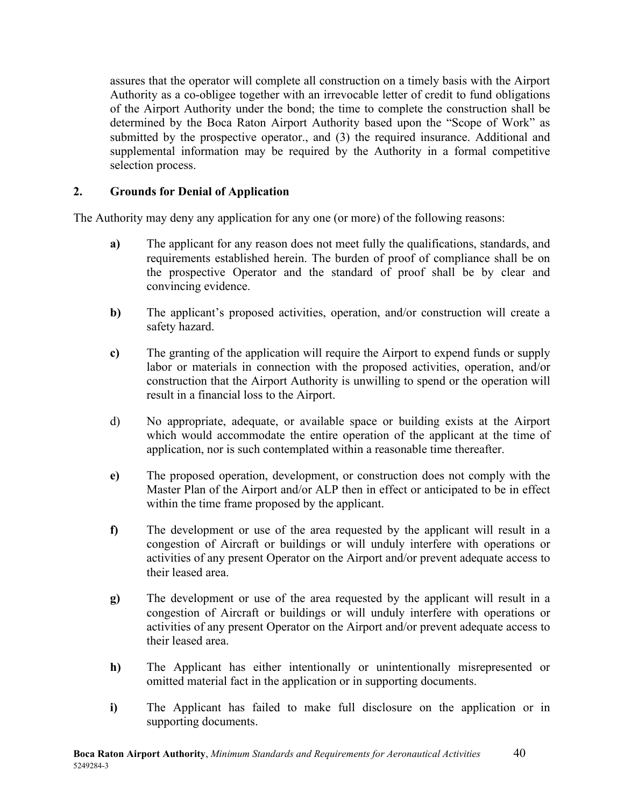assures that the operator will complete all construction on a timely basis with the Airport Authority as a co-obligee together with an irrevocable letter of credit to fund obligations of the Airport Authority under the bond; the time to complete the construction shall be determined by the Boca Raton Airport Authority based upon the "Scope of Work" as submitted by the prospective operator., and (3) the required insurance. Additional and supplemental information may be required by the Authority in a formal competitive selection process.

#### <span id="page-44-0"></span>**2. Grounds for Denial of Application**

The Authority may deny any application for any one (or more) of the following reasons:

- **a)** The applicant for any reason does not meet fully the qualifications, standards, and requirements established herein. The burden of proof of compliance shall be on the prospective Operator and the standard of proof shall be by clear and convincing evidence.
- **b)** The applicant's proposed activities, operation, and/or construction will create a safety hazard.
- **c)** The granting of the application will require the Airport to expend funds or supply labor or materials in connection with the proposed activities, operation, and/or construction that the Airport Authority is unwilling to spend or the operation will result in a financial loss to the Airport.
- d) No appropriate, adequate, or available space or building exists at the Airport which would accommodate the entire operation of the applicant at the time of application, nor is such contemplated within a reasonable time thereafter.
- **e)** The proposed operation, development, or construction does not comply with the Master Plan of the Airport and/or ALP then in effect or anticipated to be in effect within the time frame proposed by the applicant.
- **f)** The development or use of the area requested by the applicant will result in a congestion of Aircraft or buildings or will unduly interfere with operations or activities of any present Operator on the Airport and/or prevent adequate access to their leased area.
- **g)** The development or use of the area requested by the applicant will result in a congestion of Aircraft or buildings or will unduly interfere with operations or activities of any present Operator on the Airport and/or prevent adequate access to their leased area.
- **h)** The Applicant has either intentionally or unintentionally misrepresented or omitted material fact in the application or in supporting documents.
- **i)** The Applicant has failed to make full disclosure on the application or in supporting documents.